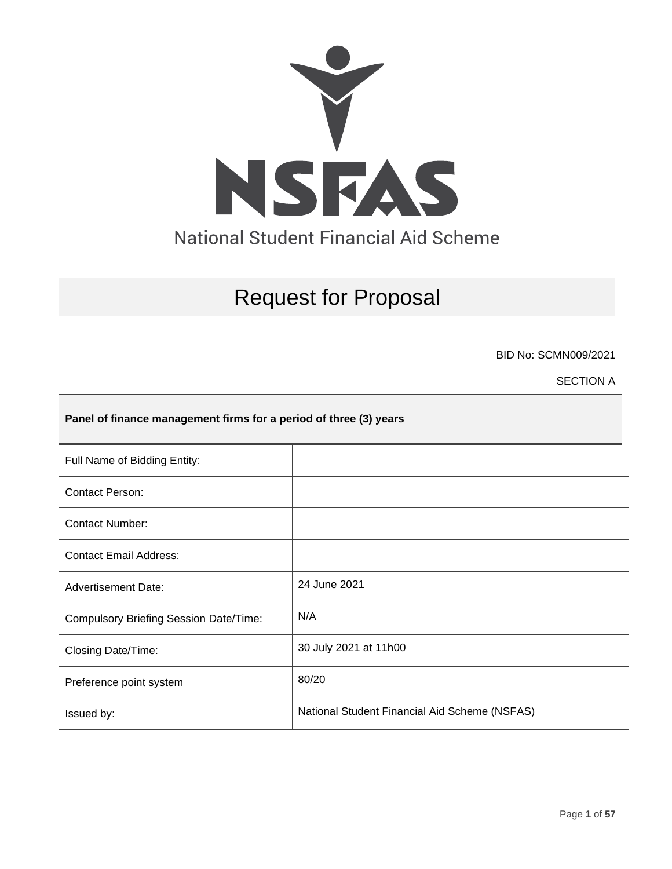

# Request for Proposal

BID No: SCMN009/2021

SECTION A

## **Panel of finance management firms for a period of three (3) years**

| Full Name of Bidding Entity:                  |                                               |
|-----------------------------------------------|-----------------------------------------------|
| <b>Contact Person:</b>                        |                                               |
| <b>Contact Number:</b>                        |                                               |
| <b>Contact Email Address:</b>                 |                                               |
| <b>Advertisement Date:</b>                    | 24 June 2021                                  |
| <b>Compulsory Briefing Session Date/Time:</b> | N/A                                           |
| Closing Date/Time:                            | 30 July 2021 at 11h00                         |
| Preference point system                       | 80/20                                         |
| Issued by:                                    | National Student Financial Aid Scheme (NSFAS) |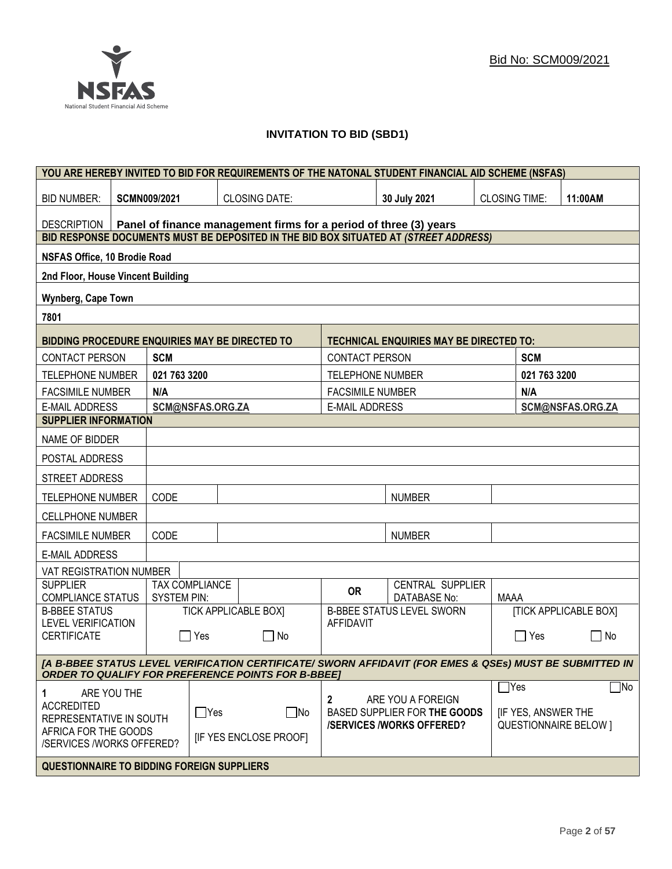

## **INVITATION TO BID (SBD1)**

|                                                                                                                                                                      | YOU ARE HEREBY INVITED TO BID FOR REQUIREMENTS OF THE NATONAL STUDENT FINANCIAL AID SCHEME (NSFAS) |                     |                  |                              |                         |                                                                                      |                      |                           |                              |
|----------------------------------------------------------------------------------------------------------------------------------------------------------------------|----------------------------------------------------------------------------------------------------|---------------------|------------------|------------------------------|-------------------------|--------------------------------------------------------------------------------------|----------------------|---------------------------|------------------------------|
| <b>BID NUMBER:</b>                                                                                                                                                   |                                                                                                    | <b>SCMN009/2021</b> |                  | <b>CLOSING DATE:</b>         |                         | 30 July 2021                                                                         | <b>CLOSING TIME:</b> |                           | 11:00AM                      |
| Panel of finance management firms for a period of three (3) years<br><b>DESCRIPTION</b>                                                                              |                                                                                                    |                     |                  |                              |                         |                                                                                      |                      |                           |                              |
|                                                                                                                                                                      |                                                                                                    |                     |                  |                              |                         | BID RESPONSE DOCUMENTS MUST BE DEPOSITED IN THE BID BOX SITUATED AT (STREET ADDRESS) |                      |                           |                              |
| <b>NSFAS Office, 10 Brodie Road</b>                                                                                                                                  |                                                                                                    |                     |                  |                              |                         |                                                                                      |                      |                           |                              |
| 2nd Floor, House Vincent Building                                                                                                                                    |                                                                                                    |                     |                  |                              |                         |                                                                                      |                      |                           |                              |
| <b>Wynberg, Cape Town</b>                                                                                                                                            |                                                                                                    |                     |                  |                              |                         |                                                                                      |                      |                           |                              |
| 7801                                                                                                                                                                 |                                                                                                    |                     |                  |                              |                         |                                                                                      |                      |                           |                              |
| BIDDING PROCEDURE ENQUIRIES MAY BE DIRECTED TO                                                                                                                       |                                                                                                    |                     |                  |                              |                         | <b>TECHNICAL ENQUIRIES MAY BE DIRECTED TO:</b>                                       |                      |                           |                              |
| <b>CONTACT PERSON</b>                                                                                                                                                |                                                                                                    | <b>SCM</b>          |                  |                              | <b>CONTACT PERSON</b>   |                                                                                      |                      | <b>SCM</b>                |                              |
| <b>TELEPHONE NUMBER</b>                                                                                                                                              |                                                                                                    | 021 763 3200        |                  |                              | <b>TELEPHONE NUMBER</b> |                                                                                      |                      | 021 763 3200              |                              |
| <b>FACSIMILE NUMBER</b>                                                                                                                                              |                                                                                                    | N/A                 |                  |                              | <b>FACSIMILE NUMBER</b> |                                                                                      |                      | N/A                       |                              |
| <b>E-MAIL ADDRESS</b>                                                                                                                                                |                                                                                                    |                     | SCM@NSFAS.ORG.ZA |                              | <b>E-MAIL ADDRESS</b>   |                                                                                      |                      |                           | SCM@NSFAS.ORG.ZA             |
| <b>SUPPLIER INFORMATION</b>                                                                                                                                          |                                                                                                    |                     |                  |                              |                         |                                                                                      |                      |                           |                              |
| NAME OF BIDDER                                                                                                                                                       |                                                                                                    |                     |                  |                              |                         |                                                                                      |                      |                           |                              |
| POSTAL ADDRESS                                                                                                                                                       |                                                                                                    |                     |                  |                              |                         |                                                                                      |                      |                           |                              |
| STREET ADDRESS                                                                                                                                                       |                                                                                                    |                     |                  |                              |                         |                                                                                      |                      |                           |                              |
| <b>TELEPHONE NUMBER</b>                                                                                                                                              |                                                                                                    | CODE                |                  |                              |                         | <b>NUMBER</b>                                                                        |                      |                           |                              |
| <b>CELLPHONE NUMBER</b>                                                                                                                                              |                                                                                                    |                     |                  |                              |                         |                                                                                      |                      |                           |                              |
| <b>FACSIMILE NUMBER</b>                                                                                                                                              |                                                                                                    | CODE                |                  |                              |                         | <b>NUMBER</b>                                                                        |                      |                           |                              |
| <b>E-MAIL ADDRESS</b>                                                                                                                                                |                                                                                                    |                     |                  |                              |                         |                                                                                      |                      |                           |                              |
| VAT REGISTRATION NUMBER                                                                                                                                              |                                                                                                    |                     |                  |                              |                         |                                                                                      |                      |                           |                              |
| <b>SUPPLIER</b><br><b>COMPLIANCE STATUS</b>                                                                                                                          |                                                                                                    | <b>SYSTEM PIN:</b>  | TAX COMPLIANCE   |                              | <b>OR</b>               | CENTRAL SUPPLIER<br><b>DATABASE No:</b>                                              | <b>MAAA</b>          |                           |                              |
| <b>B-BBEE STATUS</b>                                                                                                                                                 |                                                                                                    |                     |                  | <b>TICK APPLICABLE BOX]</b>  |                         | <b>B-BBEE STATUS LEVEL SWORN</b>                                                     |                      |                           | <b>[TICK APPLICABLE BOX]</b> |
| <b>LEVEL VERIFICATION</b><br><b>CERTIFICATE</b>                                                                                                                      |                                                                                                    | $\mathbf{I}$        | Yes              | $\Box$ No                    | <b>AFFIDAVIT</b>        |                                                                                      |                      | $\Box$ Yes                | $\Box$<br>No                 |
| [A B-BBEE STATUS LEVEL VERIFICATION CERTIFICATE/ SWORN AFFIDAVIT (FOR EMES & QSEs) MUST BE SUBMITTED IN<br><b>ORDER TO QUALIFY FOR PREFERENCE POINTS FOR B-BBEET</b> |                                                                                                    |                     |                  |                              |                         |                                                                                      |                      |                           |                              |
|                                                                                                                                                                      |                                                                                                    |                     |                  |                              |                         |                                                                                      | $\Box$ Yes           |                           | $\Box$ No                    |
| 1<br><b>ACCREDITED</b><br>REPRESENTATIVE IN SOUTH                                                                                                                    | ARE YOU THE                                                                                        |                     | $\Box$ Yes       | $\Box$ No                    | 2                       | ARE YOU A FOREIGN<br>BASED SUPPLIER FOR THE GOODS<br><b>/SERVICES/WORKS OFFERED?</b> |                      | <b>IF YES, ANSWER THE</b> | <b>QUESTIONNAIRE BELOW 1</b> |
| AFRICA FOR THE GOODS<br>/SERVICES /WORKS OFFERED?                                                                                                                    |                                                                                                    |                     |                  | <b>IF YES ENCLOSE PROOFI</b> |                         |                                                                                      |                      |                           |                              |
| <b>QUESTIONNAIRE TO BIDDING FOREIGN SUPPLIERS</b>                                                                                                                    |                                                                                                    |                     |                  |                              |                         |                                                                                      |                      |                           |                              |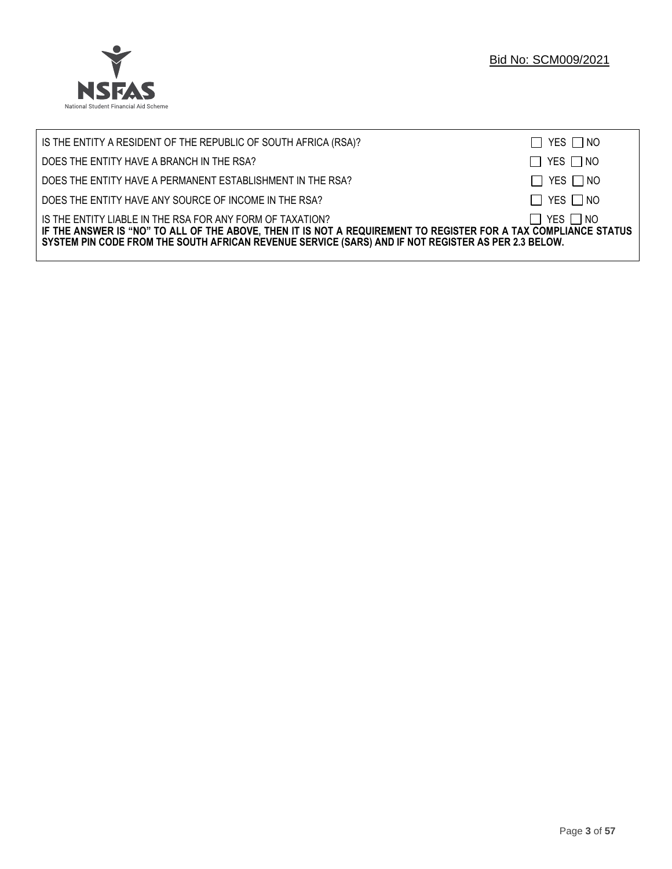

| IS THE ENTITY A RESIDENT OF THE REPUBLIC OF SOUTH AFRICA (RSA)?                                                                                                                                                                                                                     | $\Box$ YES $\Box$ NO |
|-------------------------------------------------------------------------------------------------------------------------------------------------------------------------------------------------------------------------------------------------------------------------------------|----------------------|
| DOES THE ENTITY HAVE A BRANCH IN THE RSA?                                                                                                                                                                                                                                           | $\Box$ YES $\Box$ NO |
| DOES THE ENTITY HAVE A PERMANENT ESTABLISHMENT IN THE RSA?                                                                                                                                                                                                                          | $\Box$ YES $\Box$ NO |
| DOES THE ENTITY HAVE ANY SOURCE OF INCOME IN THE RSA?                                                                                                                                                                                                                               | $\Box$ YES $\Box$ NO |
| IS THE ENTITY LIABLE IN THE RSA FOR ANY FORM OF TAXATION?<br>IF THE ANSWER IS "NO" TO ALL OF THE ABOVE, THEN IT IS NOT A REQUIREMENT TO REGISTER FOR A TAX COMPLIANCE STATUS<br>SYSTEM PIN CODE FROM THE SOUTH AFRICAN REVENUE SERVICE (SARS) AND IF NOT REGISTER AS PER 2.3 BELOW. | $\Box$ YES $\Box$ NO |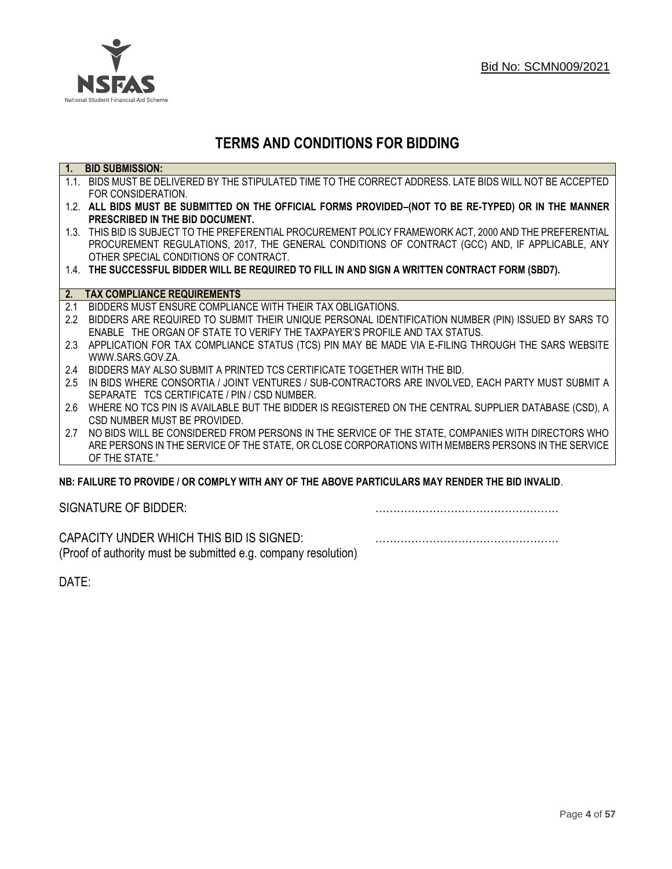

## **TERMS AND CONDITIONS FOR BIDDING**

| $\overline{1}$ . | <b>BID SUBMISSION:</b>                                                                                    |
|------------------|-----------------------------------------------------------------------------------------------------------|
|                  | 1.1. BIDS MUST BE DELIVERED BY THE STIPULATED TIME TO THE CORRECT ADDRESS. LATE BIDS WILL NOT BE ACCEPTED |
|                  | FOR CONSIDERATION.                                                                                        |
|                  | 1.2. ALL BIDS MUST BE SUBMITTED ON THE OFFICIAL FORMS PROVIDED-(NOT TO BE RE-TYPED) OR IN THE MANNER      |
|                  | PRESCRIBED IN THE BID DOCUMENT.                                                                           |
|                  | 1.3. THIS BID IS SUBJECT TO THE PREFERENTIAL PROCUREMENT POLICY FRAMEWORK ACT, 2000 AND THE PREFERENTIAL  |
|                  | PROCUREMENT REGULATIONS, 2017, THE GENERAL CONDITIONS OF CONTRACT (GCC) AND, IF APPLICABLE, ANY           |
|                  | OTHER SPECIAL CONDITIONS OF CONTRACT.                                                                     |
|                  | 1.4. THE SUCCESSFUL BIDDER WILL BE REQUIRED TO FILL IN AND SIGN A WRITTEN CONTRACT FORM (SBD7).           |
|                  |                                                                                                           |
|                  | 2. TAX COMPLIANCE REQUIREMENTS                                                                            |
| 2.1              | BIDDERS MUST ENSURE COMPLIANCE WITH THEIR TAX OBLIGATIONS.                                                |
| $2.2^{\circ}$    | BIDDERS ARE REQUIRED TO SUBMIT THEIR UNIQUE PERSONAL IDENTIFICATION NUMBER (PIN) ISSUED BY SARS TO        |
|                  | ENABLE THE ORGAN OF STATE TO VERIFY THE TAXPAYER'S PROFILE AND TAX STATUS.                                |
| 2.3              | APPLICATION FOR TAX COMPLIANCE STATUS (TCS) PIN MAY BE MADE VIA E-FILING THROUGH THE SARS WEBSITE         |
|                  | WWW.SARS.GOV.ZA.                                                                                          |
| 2.4              | BIDDERS MAY ALSO SUBMIT A PRINTED TCS CERTIFICATE TOGETHER WITH THE BID.                                  |
| 2.5              | IN BIDS WHERE CONSORTIA / JOINT VENTURES / SUB-CONTRACTORS ARE INVOLVED, EACH PARTY MUST SUBMIT A         |
|                  | SEPARATE TCS CERTIFICATE / PIN / CSD NUMBER.                                                              |
| 2.6              | WHERE NO TCS PIN IS AVAILABLE BUT THE BIDDER IS REGISTERED ON THE CENTRAL SUPPLIER DATABASE (CSD), A      |
|                  | CSD NUMBER MUST BE PROVIDED.                                                                              |
| 2.7              | NO BIDS WILL BE CONSIDERED FROM PERSONS IN THE SERVICE OF THE STATE, COMPANIES WITH DIRECTORS WHO         |
|                  | ARE PERSONS IN THE SERVICE OF THE STATE, OR CLOSE CORPORATIONS WITH MEMBERS PERSONS IN THE SERVICE        |
|                  | OF THE STATE."                                                                                            |
|                  | ND. EAILHDE TÓ DDÓVIDE LÓD CÓMDLV WITH ANY ÓE THE ADÓVE DADTICHLADO MAY DENDED THE DID INVALID.           |

## **NB: FAILURE TO PROVIDE / OR COMPLY WITH ANY OF THE ABOVE PARTICULARS MAY RENDER THE BID INVALID**.

|  | SIGNATURE OF BIDDER: |
|--|----------------------|
|--|----------------------|

SIGNATURE OF BIDDER: ……………………………………………

CAPACITY UNDER WHICH THIS BID IS SIGNED: …………………………………………… (Proof of authority must be submitted e.g. company resolution)

DATE: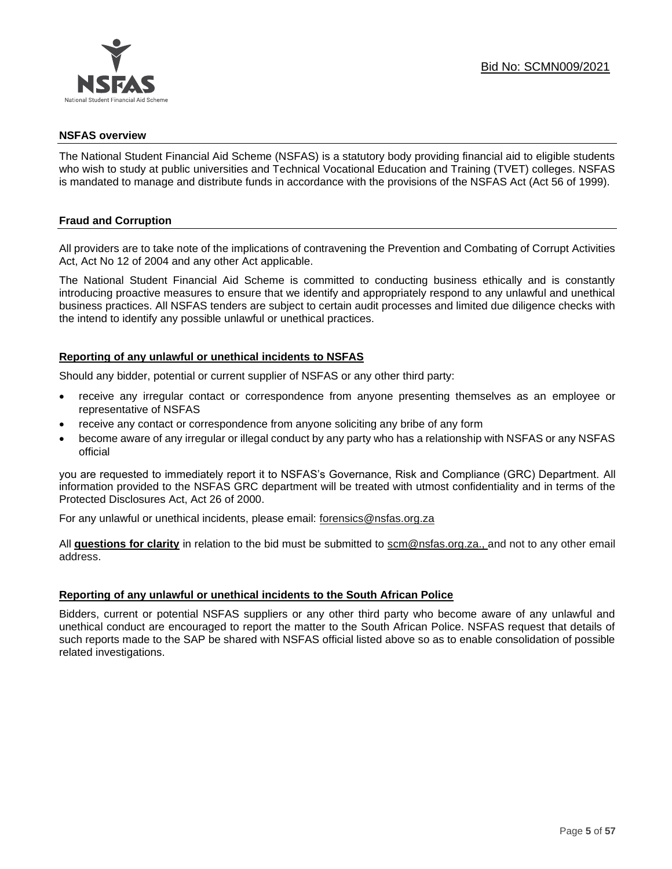

#### **NSFAS overview**

The National Student Financial Aid Scheme (NSFAS) is a statutory body providing financial aid to eligible students who wish to study at public universities and Technical Vocational Education and Training (TVET) colleges. NSFAS is mandated to manage and distribute funds in accordance with the provisions of the NSFAS Act (Act 56 of 1999).

## **Fraud and Corruption**

All providers are to take note of the implications of contravening the Prevention and Combating of Corrupt Activities Act, Act No 12 of 2004 and any other Act applicable.

The National Student Financial Aid Scheme is committed to conducting business ethically and is constantly introducing proactive measures to ensure that we identify and appropriately respond to any unlawful and unethical business practices. All NSFAS tenders are subject to certain audit processes and limited due diligence checks with the intend to identify any possible unlawful or unethical practices.

## **Reporting of any unlawful or unethical incidents to NSFAS**

Should any bidder, potential or current supplier of NSFAS or any other third party:

- receive any irregular contact or correspondence from anyone presenting themselves as an employee or representative of NSFAS
- receive any contact or correspondence from anyone soliciting any bribe of any form
- become aware of any irregular or illegal conduct by any party who has a relationship with NSFAS or any NSFAS official

you are requested to immediately report it to NSFAS's Governance, Risk and Compliance (GRC) Department. All information provided to the NSFAS GRC department will be treated with utmost confidentiality and in terms of the Protected Disclosures Act, Act 26 of 2000.

For any unlawful or unethical incidents, please email: [forensics@nsfas.org.za](mailto:forensics@nsfas.org.za)

All **questions for clarity** in relation to the bid must be submitted to [scm@nsfas.org.za.](mailto:scm@nsfas.org.za), and not to any other email address.

## **Reporting of any unlawful or unethical incidents to the South African Police**

Bidders, current or potential NSFAS suppliers or any other third party who become aware of any unlawful and unethical conduct are encouraged to report the matter to the South African Police. NSFAS request that details of such reports made to the SAP be shared with NSFAS official listed above so as to enable consolidation of possible related investigations.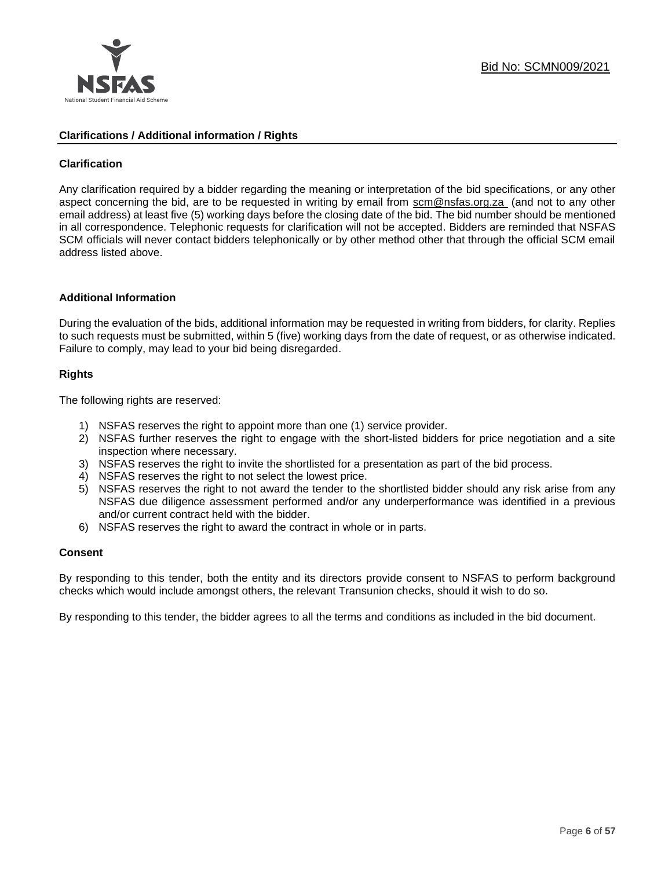

## **Clarifications / Additional information / Rights**

## **Clarification**

Any clarification required by a bidder regarding the meaning or interpretation of the bid specifications, or any other aspect concerning the bid, are to be requested in writing by email from [scm@nsfas.org.za](mailto:scm@nsfas.org.za) (and not to any other email address) at least five (5) working days before the closing date of the bid. The bid number should be mentioned in all correspondence. Telephonic requests for clarification will not be accepted. Bidders are reminded that NSFAS SCM officials will never contact bidders telephonically or by other method other that through the official SCM email address listed above.

#### **Additional Information**

During the evaluation of the bids, additional information may be requested in writing from bidders, for clarity. Replies to such requests must be submitted, within 5 (five) working days from the date of request, or as otherwise indicated. Failure to comply, may lead to your bid being disregarded.

## **Rights**

The following rights are reserved:

- 1) NSFAS reserves the right to appoint more than one (1) service provider.
- 2) NSFAS further reserves the right to engage with the short-listed bidders for price negotiation and a site inspection where necessary.
- 3) NSFAS reserves the right to invite the shortlisted for a presentation as part of the bid process.
- 4) NSFAS reserves the right to not select the lowest price.
- 5) NSFAS reserves the right to not award the tender to the shortlisted bidder should any risk arise from any NSFAS due diligence assessment performed and/or any underperformance was identified in a previous and/or current contract held with the bidder.
- 6) NSFAS reserves the right to award the contract in whole or in parts.

#### **Consent**

By responding to this tender, both the entity and its directors provide consent to NSFAS to perform background checks which would include amongst others, the relevant Transunion checks, should it wish to do so.

By responding to this tender, the bidder agrees to all the terms and conditions as included in the bid document.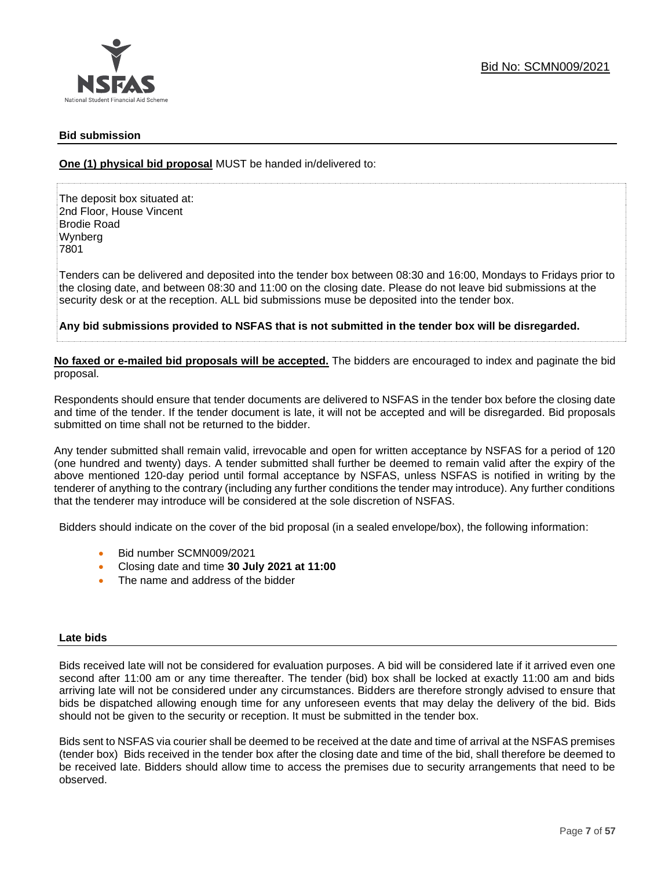

## **Bid submission**

**One (1) physical bid proposal** MUST be handed in/delivered to:

The deposit box situated at: 2nd Floor, House Vincent Brodie Road Wynberg 7801

Tenders can be delivered and deposited into the tender box between 08:30 and 16:00, Mondays to Fridays prior to the closing date, and between 08:30 and 11:00 on the closing date. Please do not leave bid submissions at the security desk or at the reception. ALL bid submissions muse be deposited into the tender box.

**Any bid submissions provided to NSFAS that is not submitted in the tender box will be disregarded.**

**No faxed or e-mailed bid proposals will be accepted.** The bidders are encouraged to index and paginate the bid proposal.

Respondents should ensure that tender documents are delivered to NSFAS in the tender box before the closing date and time of the tender. If the tender document is late, it will not be accepted and will be disregarded. Bid proposals submitted on time shall not be returned to the bidder.

Any tender submitted shall remain valid, irrevocable and open for written acceptance by NSFAS for a period of 120 (one hundred and twenty) days. A tender submitted shall further be deemed to remain valid after the expiry of the above mentioned 120-day period until formal acceptance by NSFAS, unless NSFAS is notified in writing by the tenderer of anything to the contrary (including any further conditions the tender may introduce). Any further conditions that the tenderer may introduce will be considered at the sole discretion of NSFAS.

Bidders should indicate on the cover of the bid proposal (in a sealed envelope/box), the following information:

- Bid number SCMN009/2021
- Closing date and time **30 July 2021 at 11:00**
- The name and address of the bidder

#### **Late bids**

Bids received late will not be considered for evaluation purposes. A bid will be considered late if it arrived even one second after 11:00 am or any time thereafter. The tender (bid) box shall be locked at exactly 11:00 am and bids arriving late will not be considered under any circumstances. Bidders are therefore strongly advised to ensure that bids be dispatched allowing enough time for any unforeseen events that may delay the delivery of the bid. Bids should not be given to the security or reception. It must be submitted in the tender box.

Bids sent to NSFAS via courier shall be deemed to be received at the date and time of arrival at the NSFAS premises (tender box) Bids received in the tender box after the closing date and time of the bid, shall therefore be deemed to be received late. Bidders should allow time to access the premises due to security arrangements that need to be observed.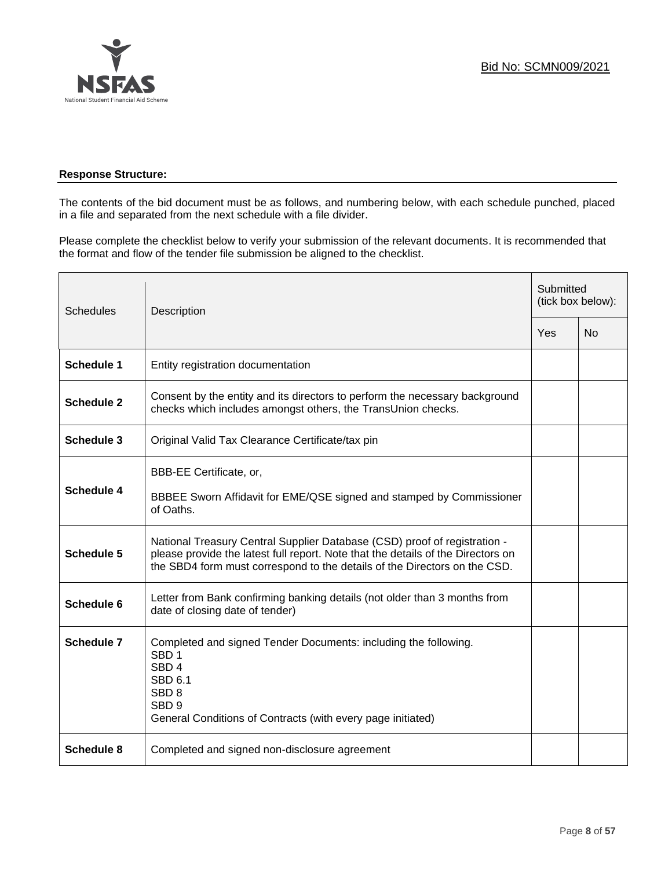

## **Response Structure:**

The contents of the bid document must be as follows, and numbering below, with each schedule punched, placed in a file and separated from the next schedule with a file divider.

Please complete the checklist below to verify your submission of the relevant documents. It is recommended that the format and flow of the tender file submission be aligned to the checklist.

| <b>Schedules</b>  | Description                                                                                                                                                                                                                                |     | Submitted<br>(tick box below): |  |
|-------------------|--------------------------------------------------------------------------------------------------------------------------------------------------------------------------------------------------------------------------------------------|-----|--------------------------------|--|
|                   |                                                                                                                                                                                                                                            | Yes | <b>No</b>                      |  |
| <b>Schedule 1</b> | Entity registration documentation                                                                                                                                                                                                          |     |                                |  |
| <b>Schedule 2</b> | Consent by the entity and its directors to perform the necessary background<br>checks which includes amongst others, the TransUnion checks.                                                                                                |     |                                |  |
| <b>Schedule 3</b> | Original Valid Tax Clearance Certificate/tax pin                                                                                                                                                                                           |     |                                |  |
| <b>Schedule 4</b> | BBB-EE Certificate, or,<br>BBBEE Sworn Affidavit for EME/QSE signed and stamped by Commissioner<br>of Oaths.                                                                                                                               |     |                                |  |
| <b>Schedule 5</b> | National Treasury Central Supplier Database (CSD) proof of registration -<br>please provide the latest full report. Note that the details of the Directors on<br>the SBD4 form must correspond to the details of the Directors on the CSD. |     |                                |  |
| Schedule 6        | Letter from Bank confirming banking details (not older than 3 months from<br>date of closing date of tender)                                                                                                                               |     |                                |  |
| <b>Schedule 7</b> | Completed and signed Tender Documents: including the following.<br>SBD <sub>1</sub><br>SBD <sub>4</sub><br><b>SBD 6.1</b><br>SBD <sub>8</sub><br>SBD <sub>9</sub><br>General Conditions of Contracts (with every page initiated)           |     |                                |  |
| <b>Schedule 8</b> | Completed and signed non-disclosure agreement                                                                                                                                                                                              |     |                                |  |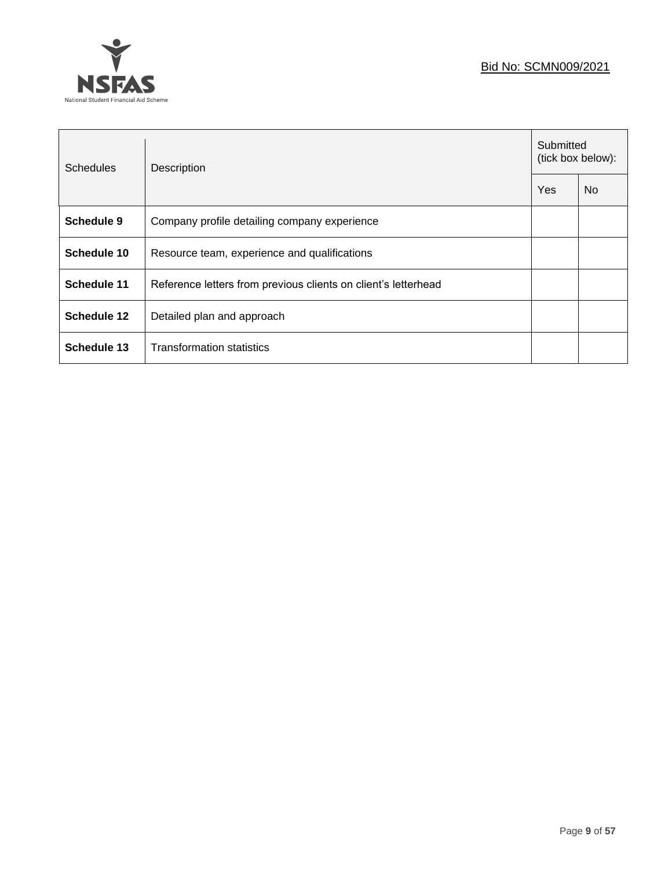## Bid No: SCMN009/2021



| <b>Schedules</b>   | Description                                                    | Submitted<br>(tick box below): |           |
|--------------------|----------------------------------------------------------------|--------------------------------|-----------|
|                    |                                                                | Yes                            | <b>No</b> |
| Schedule 9         | Company profile detailing company experience                   |                                |           |
| Schedule 10        | Resource team, experience and qualifications                   |                                |           |
| <b>Schedule 11</b> | Reference letters from previous clients on client's letterhead |                                |           |
| <b>Schedule 12</b> | Detailed plan and approach                                     |                                |           |
| Schedule 13        | <b>Transformation statistics</b>                               |                                |           |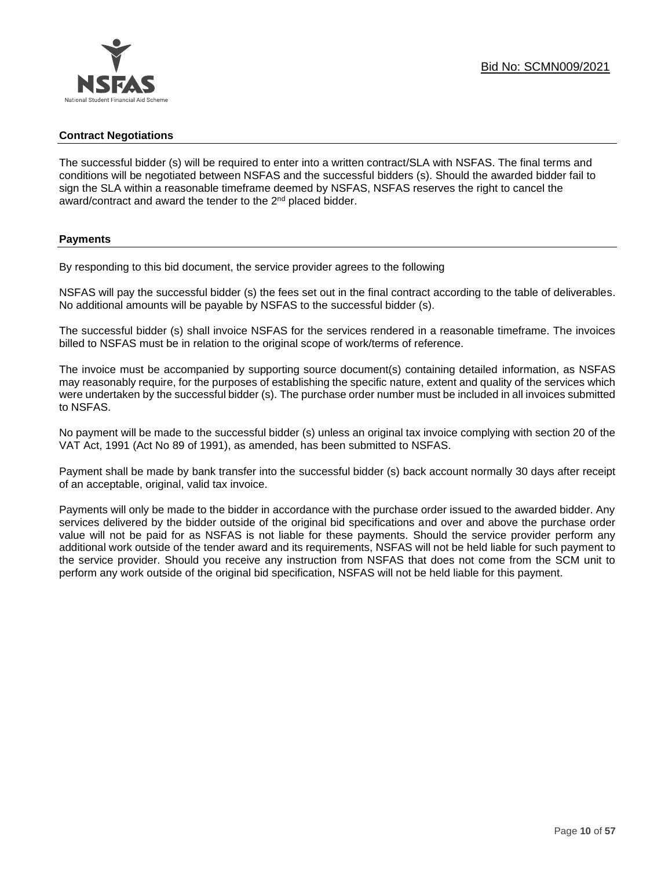## **Contract Negotiations**

The successful bidder (s) will be required to enter into a written contract/SLA with NSFAS. The final terms and conditions will be negotiated between NSFAS and the successful bidders (s). Should the awarded bidder fail to sign the SLA within a reasonable timeframe deemed by NSFAS, NSFAS reserves the right to cancel the award/contract and award the tender to the 2<sup>nd</sup> placed bidder.

## **Payments**

By responding to this bid document, the service provider agrees to the following

NSFAS will pay the successful bidder (s) the fees set out in the final contract according to the table of deliverables. No additional amounts will be payable by NSFAS to the successful bidder (s).

The successful bidder (s) shall invoice NSFAS for the services rendered in a reasonable timeframe. The invoices billed to NSFAS must be in relation to the original scope of work/terms of reference.

The invoice must be accompanied by supporting source document(s) containing detailed information, as NSFAS may reasonably require, for the purposes of establishing the specific nature, extent and quality of the services which were undertaken by the successful bidder (s). The purchase order number must be included in all invoices submitted to NSFAS.

No payment will be made to the successful bidder (s) unless an original tax invoice complying with section 20 of the VAT Act, 1991 (Act No 89 of 1991), as amended, has been submitted to NSFAS.

Payment shall be made by bank transfer into the successful bidder (s) back account normally 30 days after receipt of an acceptable, original, valid tax invoice.

Payments will only be made to the bidder in accordance with the purchase order issued to the awarded bidder. Any services delivered by the bidder outside of the original bid specifications and over and above the purchase order value will not be paid for as NSFAS is not liable for these payments. Should the service provider perform any additional work outside of the tender award and its requirements, NSFAS will not be held liable for such payment to the service provider. Should you receive any instruction from NSFAS that does not come from the SCM unit to perform any work outside of the original bid specification, NSFAS will not be held liable for this payment.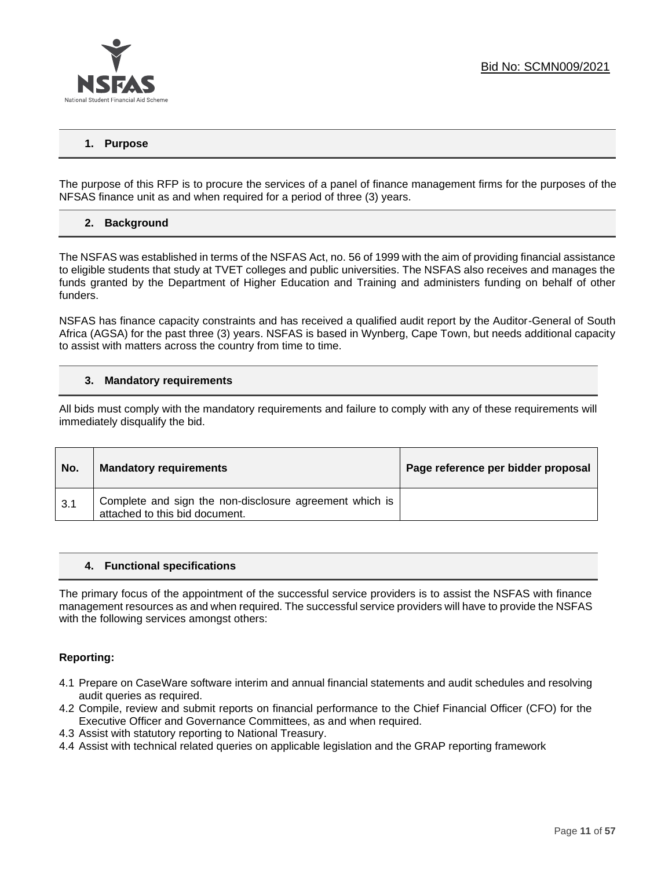

## **1. Purpose**

The purpose of this RFP is to procure the services of a panel of finance management firms for the purposes of the NFSAS finance unit as and when required for a period of three (3) years.

## **2. Background**

The NSFAS was established in terms of the NSFAS Act, no. 56 of 1999 with the aim of providing financial assistance to eligible students that study at TVET colleges and public universities. The NSFAS also receives and manages the funds granted by the Department of Higher Education and Training and administers funding on behalf of other funders.

NSFAS has finance capacity constraints and has received a qualified audit report by the Auditor-General of South Africa (AGSA) for the past three (3) years. NSFAS is based in Wynberg, Cape Town, but needs additional capacity to assist with matters across the country from time to time.

#### **3. Mandatory requirements**

All bids must comply with the mandatory requirements and failure to comply with any of these requirements will immediately disqualify the bid.

| No. | <b>Mandatory requirements</b>                                                             | Page reference per bidder proposal |
|-----|-------------------------------------------------------------------------------------------|------------------------------------|
| 3.1 | Complete and sign the non-disclosure agreement which is<br>attached to this bid document. |                                    |

#### **4. Functional specifications**

The primary focus of the appointment of the successful service providers is to assist the NSFAS with finance management resources as and when required. The successful service providers will have to provide the NSFAS with the following services amongst others:

#### **Reporting:**

- 4.1 Prepare on CaseWare software interim and annual financial statements and audit schedules and resolving audit queries as required.
- 4.2 Compile, review and submit reports on financial performance to the Chief Financial Officer (CFO) for the Executive Officer and Governance Committees, as and when required.
- 4.3 Assist with statutory reporting to National Treasury.
- 4.4 Assist with technical related queries on applicable legislation and the GRAP reporting framework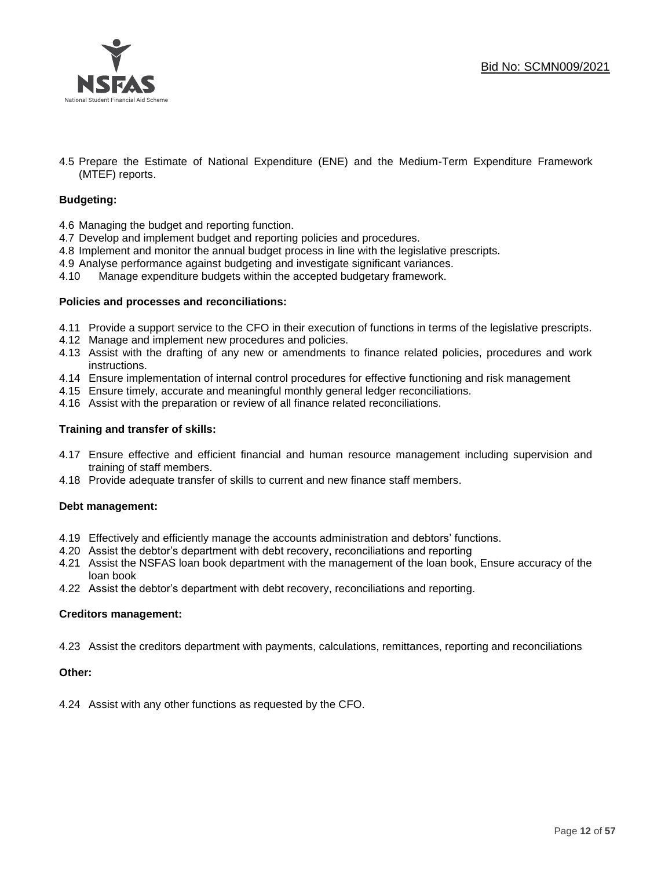



4.5 Prepare the Estimate of National Expenditure (ENE) and the Medium-Term Expenditure Framework (MTEF) reports.

#### **Budgeting:**

- 4.6 Managing the budget and reporting function.
- 4.7 Develop and implement budget and reporting policies and procedures.
- 4.8 Implement and monitor the annual budget process in line with the legislative prescripts.
- 4.9 Analyse performance against budgeting and investigate significant variances.
- 4.10 Manage expenditure budgets within the accepted budgetary framework.

#### **Policies and processes and reconciliations:**

- 4.11 Provide a support service to the CFO in their execution of functions in terms of the legislative prescripts.
- 4.12 Manage and implement new procedures and policies.
- 4.13 Assist with the drafting of any new or amendments to finance related policies, procedures and work instructions.
- 4.14 Ensure implementation of internal control procedures for effective functioning and risk management
- 4.15 Ensure timely, accurate and meaningful monthly general ledger reconciliations.
- 4.16 Assist with the preparation or review of all finance related reconciliations.

#### **Training and transfer of skills:**

- 4.17 Ensure effective and efficient financial and human resource management including supervision and training of staff members.
- 4.18 Provide adequate transfer of skills to current and new finance staff members.

#### **Debt management:**

- 4.19 Effectively and efficiently manage the accounts administration and debtors' functions.
- 4.20 Assist the debtor's department with debt recovery, reconciliations and reporting
- 4.21 Assist the NSFAS loan book department with the management of the loan book, Ensure accuracy of the loan book
- 4.22 Assist the debtor's department with debt recovery, reconciliations and reporting.

#### **Creditors management:**

4.23 Assist the creditors department with payments, calculations, remittances, reporting and reconciliations

#### **Other:**

4.24 Assist with any other functions as requested by the CFO.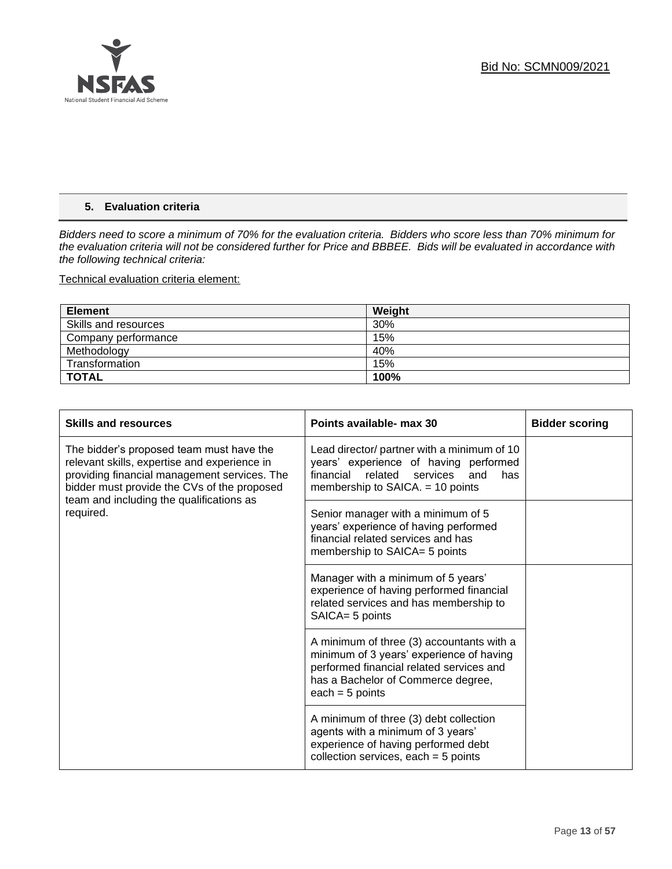

## **5. Evaluation criteria**

*Bidders need to score a minimum of 70% for the evaluation criteria. Bidders who score less than 70% minimum for the evaluation criteria will not be considered further for Price and BBBEE. Bids will be evaluated in accordance with the following technical criteria:*

Technical evaluation criteria element:

| <b>Element</b>       | Weight |
|----------------------|--------|
| Skills and resources | 30%    |
| Company performance  | 15%    |
| Methodology          | 40%    |
| Transformation       | 15%    |
| <b>TOTAL</b>         | 100%   |

| <b>Skills and resources</b>                                                                                                                                                             | Points available- max 30                                                                                                                                                                     | <b>Bidder scoring</b> |
|-----------------------------------------------------------------------------------------------------------------------------------------------------------------------------------------|----------------------------------------------------------------------------------------------------------------------------------------------------------------------------------------------|-----------------------|
| The bidder's proposed team must have the<br>relevant skills, expertise and experience in<br>providing financial management services. The<br>bidder must provide the CVs of the proposed | Lead director/ partner with a minimum of 10<br>years' experience of having performed<br>related<br>financial<br>services<br>and<br>has<br>membership to SAICA. = 10 points                   |                       |
| team and including the qualifications as<br>required.                                                                                                                                   | Senior manager with a minimum of 5<br>years' experience of having performed<br>financial related services and has<br>membership to SAICA= 5 points                                           |                       |
|                                                                                                                                                                                         | Manager with a minimum of 5 years'<br>experience of having performed financial<br>related services and has membership to<br>SAICA= 5 points                                                  |                       |
|                                                                                                                                                                                         | A minimum of three (3) accountants with a<br>minimum of 3 years' experience of having<br>performed financial related services and<br>has a Bachelor of Commerce degree,<br>each = $5$ points |                       |
|                                                                                                                                                                                         | A minimum of three (3) debt collection<br>agents with a minimum of 3 years'<br>experience of having performed debt<br>collection services, each $=$ 5 points                                 |                       |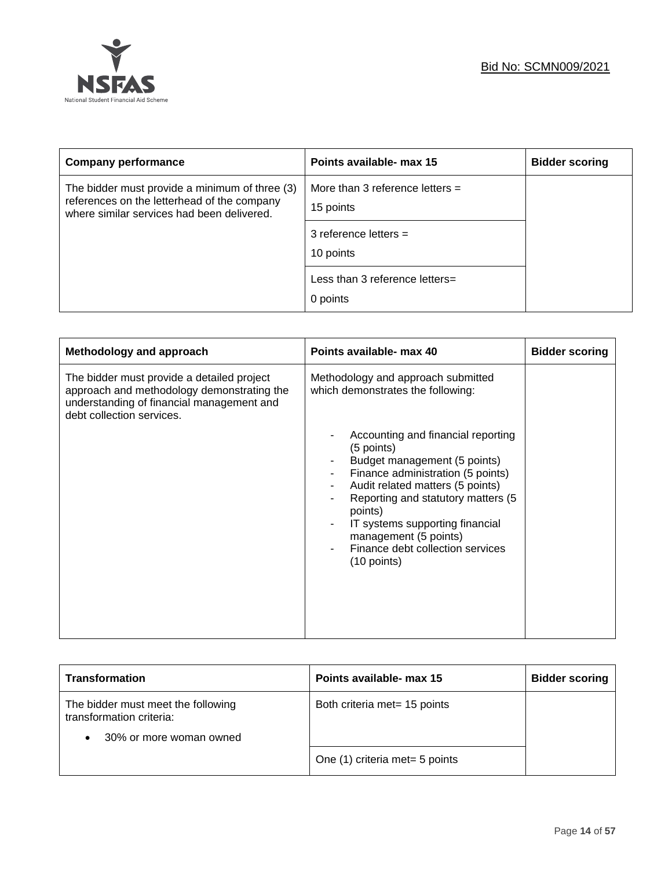

| <b>Company performance</b>                                                                                                                  | Points available- max 15                       | <b>Bidder scoring</b> |
|---------------------------------------------------------------------------------------------------------------------------------------------|------------------------------------------------|-----------------------|
| The bidder must provide a minimum of three (3)<br>references on the letterhead of the company<br>where similar services had been delivered. | More than 3 reference letters $=$<br>15 points |                       |
|                                                                                                                                             | 3 reference letters $=$<br>10 points           |                       |
|                                                                                                                                             | Less than 3 reference letters=<br>0 points     |                       |

| Methodology and approach                                                                                                                                           | Points available- max 40                                                                                                                                                                                                                                                                                                            | <b>Bidder scoring</b> |
|--------------------------------------------------------------------------------------------------------------------------------------------------------------------|-------------------------------------------------------------------------------------------------------------------------------------------------------------------------------------------------------------------------------------------------------------------------------------------------------------------------------------|-----------------------|
| The bidder must provide a detailed project<br>approach and methodology demonstrating the<br>understanding of financial management and<br>debt collection services. | Methodology and approach submitted<br>which demonstrates the following:                                                                                                                                                                                                                                                             |                       |
|                                                                                                                                                                    | Accounting and financial reporting<br>(5 points)<br>Budget management (5 points)<br>Finance administration (5 points)<br>Audit related matters (5 points)<br>Reporting and statutory matters (5<br>points)<br>IT systems supporting financial<br>management (5 points)<br>Finance debt collection services<br>$(10 \text{ points})$ |                       |

| <b>Transformation</b>                                                                     | Points available- max 15       | <b>Bidder scoring</b> |
|-------------------------------------------------------------------------------------------|--------------------------------|-----------------------|
| The bidder must meet the following<br>transformation criteria:<br>30% or more woman owned | Both criteria met= 15 points   |                       |
|                                                                                           | One (1) criteria met= 5 points |                       |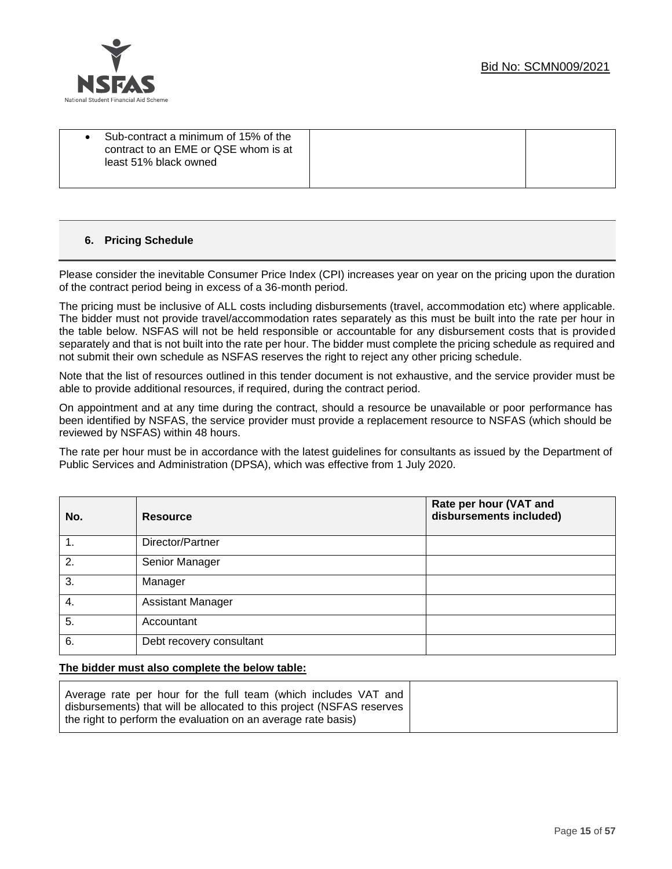



|  | Sub-contract a minimum of 15% of the<br>contract to an EME or QSE whom is at<br>least 51% black owned |  |  |
|--|-------------------------------------------------------------------------------------------------------|--|--|
|--|-------------------------------------------------------------------------------------------------------|--|--|

## **6. Pricing Schedule**

Please consider the inevitable Consumer Price Index (CPI) increases year on year on the pricing upon the duration of the contract period being in excess of a 36-month period.

The pricing must be inclusive of ALL costs including disbursements (travel, accommodation etc) where applicable. The bidder must not provide travel/accommodation rates separately as this must be built into the rate per hour in the table below. NSFAS will not be held responsible or accountable for any disbursement costs that is provided separately and that is not built into the rate per hour. The bidder must complete the pricing schedule as required and not submit their own schedule as NSFAS reserves the right to reject any other pricing schedule.

Note that the list of resources outlined in this tender document is not exhaustive, and the service provider must be able to provide additional resources, if required, during the contract period.

On appointment and at any time during the contract, should a resource be unavailable or poor performance has been identified by NSFAS, the service provider must provide a replacement resource to NSFAS (which should be reviewed by NSFAS) within 48 hours.

The rate per hour must be in accordance with the latest guidelines for consultants as issued by the Department of Public Services and Administration (DPSA), which was effective from 1 July 2020.

| No. | <b>Resource</b>          | Rate per hour (VAT and<br>disbursements included) |
|-----|--------------------------|---------------------------------------------------|
| 1.  | Director/Partner         |                                                   |
| 2.  | Senior Manager           |                                                   |
| 3.  | Manager                  |                                                   |
| 4.  | <b>Assistant Manager</b> |                                                   |
| 5.  | Accountant               |                                                   |
| 6.  | Debt recovery consultant |                                                   |

#### **The bidder must also complete the below table:**

| Average rate per hour for the full team (which includes VAT and<br>disbursements) that will be allocated to this project (NSFAS reserves |
|------------------------------------------------------------------------------------------------------------------------------------------|
| the right to perform the evaluation on an average rate basis)                                                                            |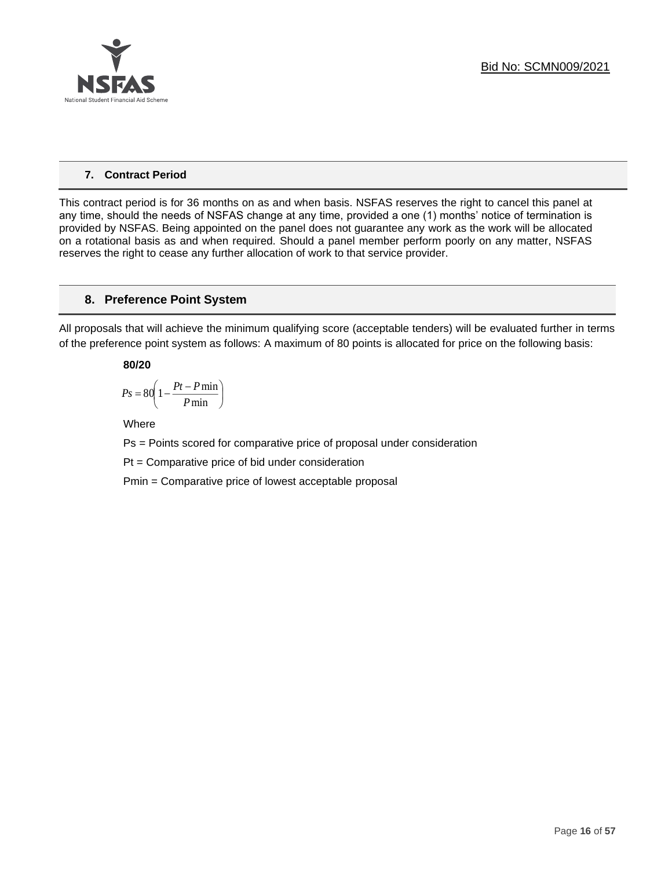

## **7. Contract Period**

This contract period is for 36 months on as and when basis. NSFAS reserves the right to cancel this panel at any time, should the needs of NSFAS change at any time, provided a one (1) months' notice of termination is provided by NSFAS. Being appointed on the panel does not guarantee any work as the work will be allocated on a rotational basis as and when required. Should a panel member perform poorly on any matter, NSFAS reserves the right to cease any further allocation of work to that service provider.

## **8. Preference Point System**

All proposals that will achieve the minimum qualifying score (acceptable tenders) will be evaluated further in terms of the preference point system as follows: A maximum of 80 points is allocated for price on the following basis:

## **80/20**

$$
Ps = 80 \left( 1 - \frac{Pt - P \min}{P \min} \right)
$$

Where

Ps = Points scored for comparative price of proposal under consideration

Pt = Comparative price of bid under consideration

Pmin = Comparative price of lowest acceptable proposal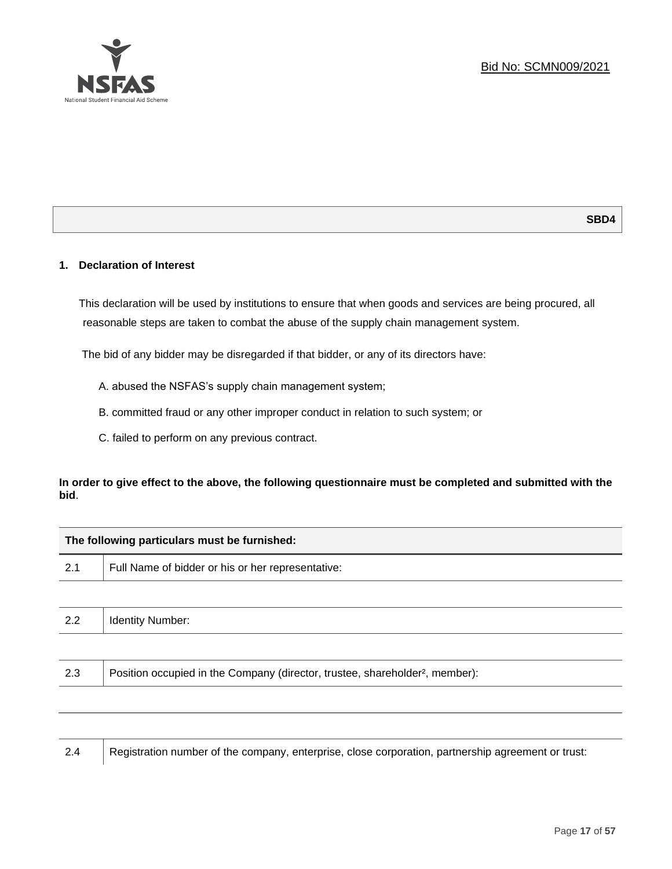

## **1. Declaration of Interest**

This declaration will be used by institutions to ensure that when goods and services are being procured, all reasonable steps are taken to combat the abuse of the supply chain management system.

The bid of any bidder may be disregarded if that bidder, or any of its directors have:

- A. abused the NSFAS's supply chain management system;
- B. committed fraud or any other improper conduct in relation to such system; or
- C. failed to perform on any previous contract.

## **In order to give effect to the above, the following questionnaire must be completed and submitted with the bid**.

| The following particulars must be furnished: |                                                                                          |  |  |
|----------------------------------------------|------------------------------------------------------------------------------------------|--|--|
| 2.1                                          | Full Name of bidder or his or her representative:                                        |  |  |
|                                              |                                                                                          |  |  |
| 2.2                                          | <b>Identity Number:</b>                                                                  |  |  |
|                                              |                                                                                          |  |  |
| 2.3                                          | Position occupied in the Company (director, trustee, shareholder <sup>2</sup> , member): |  |  |
|                                              |                                                                                          |  |  |

2.4 Registration number of the company, enterprise, close corporation, partnership agreement or trust: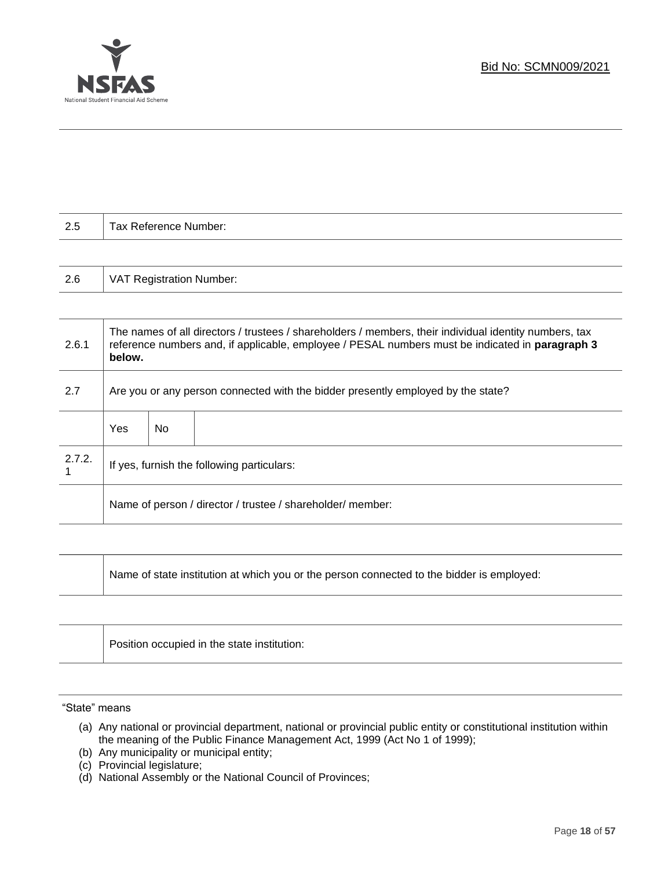

| 2.5 | Tax Reference Number:           |
|-----|---------------------------------|
|     |                                 |
| 2.6 | <b>VAT Registration Number:</b> |
|     |                                 |

| 2.6.1  | The names of all directors / trustees / shareholders / members, their individual identity numbers, tax<br>reference numbers and, if applicable, employee / PESAL numbers must be indicated in paragraph 3<br>below. |     |  |  |
|--------|---------------------------------------------------------------------------------------------------------------------------------------------------------------------------------------------------------------------|-----|--|--|
| 2.7    | Are you or any person connected with the bidder presently employed by the state?                                                                                                                                    |     |  |  |
|        | Yes                                                                                                                                                                                                                 | No. |  |  |
| 2.7.2. | If yes, furnish the following particulars:                                                                                                                                                                          |     |  |  |
|        | Name of person / director / trustee / shareholder/ member:                                                                                                                                                          |     |  |  |

| Name of state institution at which you or the person connected to the bidder is employed: |  |
|-------------------------------------------------------------------------------------------|--|
|-------------------------------------------------------------------------------------------|--|

| Position occupied in the state institution: |
|---------------------------------------------|
|                                             |

"State" means

ヿ

- (a) Any national or provincial department, national or provincial public entity or constitutional institution within the meaning of the Public Finance Management Act, 1999 (Act No 1 of 1999);
- (b) Any municipality or municipal entity;
- (c) Provincial legislature;
- (d) National Assembly or the National Council of Provinces;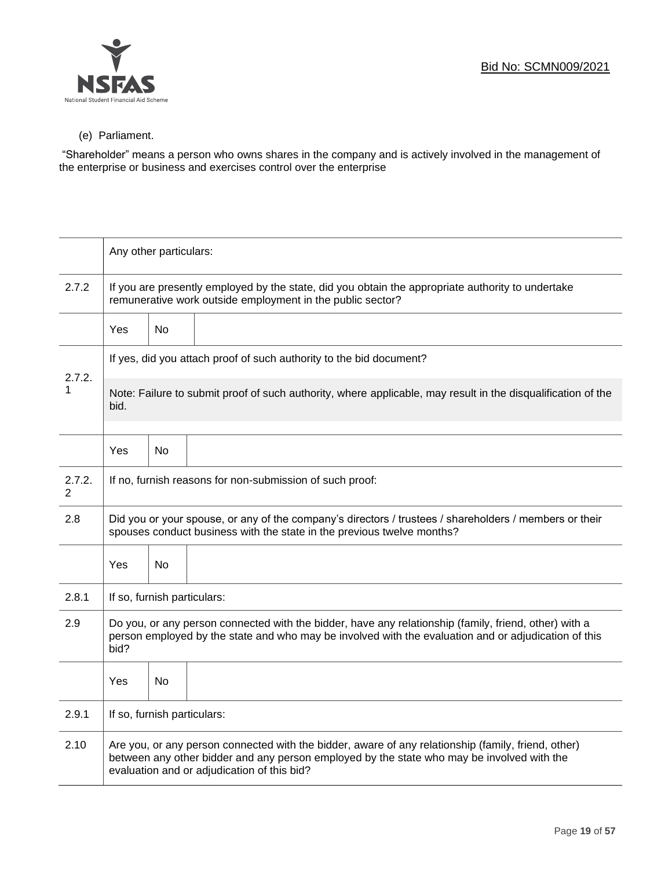

## (e) Parliament.

"Shareholder" means a person who owns shares in the company and is actively involved in the management of the enterprise or business and exercises control over the enterprise

|             | Any other particulars:                                                                                                                                                                                                                           |           |  |  |
|-------------|--------------------------------------------------------------------------------------------------------------------------------------------------------------------------------------------------------------------------------------------------|-----------|--|--|
| 2.7.2       | If you are presently employed by the state, did you obtain the appropriate authority to undertake<br>remunerative work outside employment in the public sector?                                                                                  |           |  |  |
|             | Yes                                                                                                                                                                                                                                              | <b>No</b> |  |  |
|             | If yes, did you attach proof of such authority to the bid document?                                                                                                                                                                              |           |  |  |
| 2.7.2.      | Note: Failure to submit proof of such authority, where applicable, may result in the disqualification of the<br>bid.                                                                                                                             |           |  |  |
|             | Yes                                                                                                                                                                                                                                              | No        |  |  |
| 2.7.2.<br>2 | If no, furnish reasons for non-submission of such proof:                                                                                                                                                                                         |           |  |  |
| 2.8         | Did you or your spouse, or any of the company's directors / trustees / shareholders / members or their<br>spouses conduct business with the state in the previous twelve months?                                                                 |           |  |  |
|             | Yes                                                                                                                                                                                                                                              | No        |  |  |
| 2.8.1       | If so, furnish particulars:                                                                                                                                                                                                                      |           |  |  |
| 2.9         | Do you, or any person connected with the bidder, have any relationship (family, friend, other) with a<br>person employed by the state and who may be involved with the evaluation and or adjudication of this<br>bid?                            |           |  |  |
|             | Yes                                                                                                                                                                                                                                              | <b>No</b> |  |  |
| 2.9.1       | If so, furnish particulars:                                                                                                                                                                                                                      |           |  |  |
| 2.10        | Are you, or any person connected with the bidder, aware of any relationship (family, friend, other)<br>between any other bidder and any person employed by the state who may be involved with the<br>evaluation and or adjudication of this bid? |           |  |  |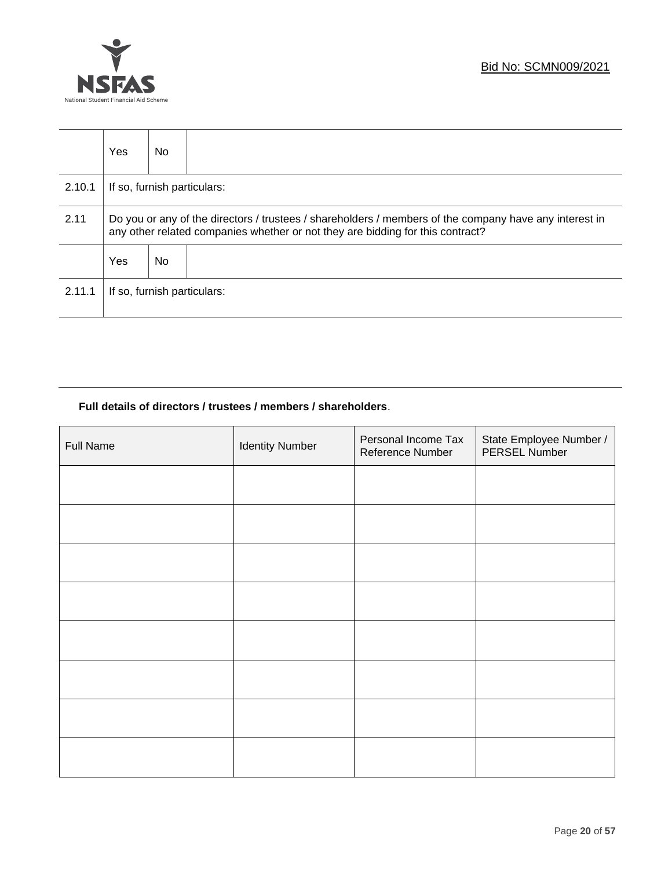



|        | <b>Yes</b>                                                                                                                                                                               | No. |                             |
|--------|------------------------------------------------------------------------------------------------------------------------------------------------------------------------------------------|-----|-----------------------------|
| 2.10.1 | If so, furnish particulars:                                                                                                                                                              |     |                             |
| 2.11   | Do you or any of the directors / trustees / shareholders / members of the company have any interest in<br>any other related companies whether or not they are bidding for this contract? |     |                             |
|        | <b>Yes</b>                                                                                                                                                                               | No. |                             |
| 2.11.1 |                                                                                                                                                                                          |     | If so, furnish particulars: |

## **Full details of directors / trustees / members / shareholders**.

| Full Name | <b>Identity Number</b> | Personal Income Tax<br>Reference Number | State Employee Number /<br>PERSEL Number |
|-----------|------------------------|-----------------------------------------|------------------------------------------|
|           |                        |                                         |                                          |
|           |                        |                                         |                                          |
|           |                        |                                         |                                          |
|           |                        |                                         |                                          |
|           |                        |                                         |                                          |
|           |                        |                                         |                                          |
|           |                        |                                         |                                          |
|           |                        |                                         |                                          |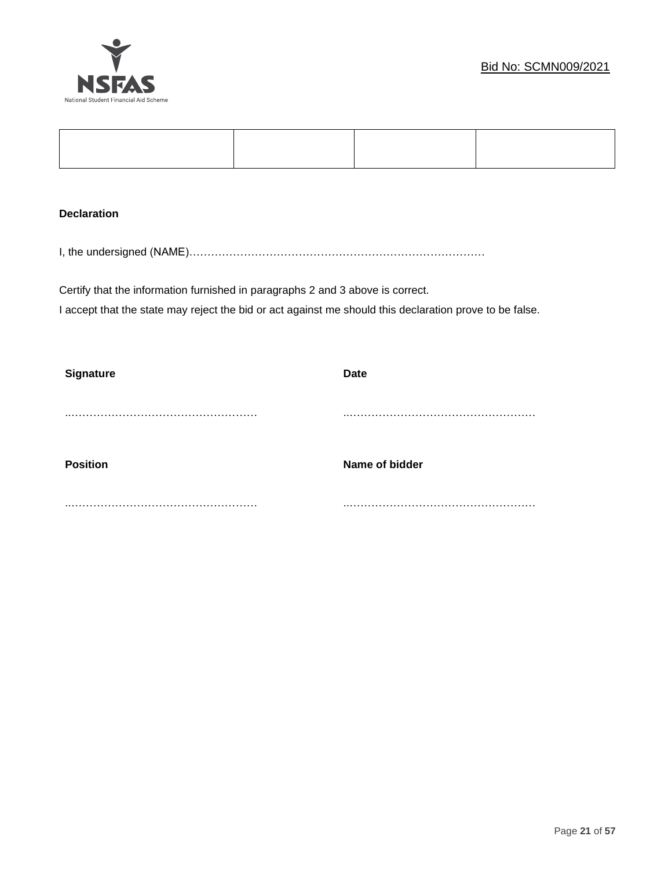

## **Declaration**

I, the undersigned (NAME)………………………………………………………………………

Certify that the information furnished in paragraphs 2 and 3 above is correct. I accept that the state may reject the bid or act against me should this declaration prove to be false.

| <b>Signature</b> | <b>Date</b>    |
|------------------|----------------|
|                  |                |
|                  |                |
|                  |                |
| <b>Position</b>  | Name of bidder |
|                  |                |
|                  |                |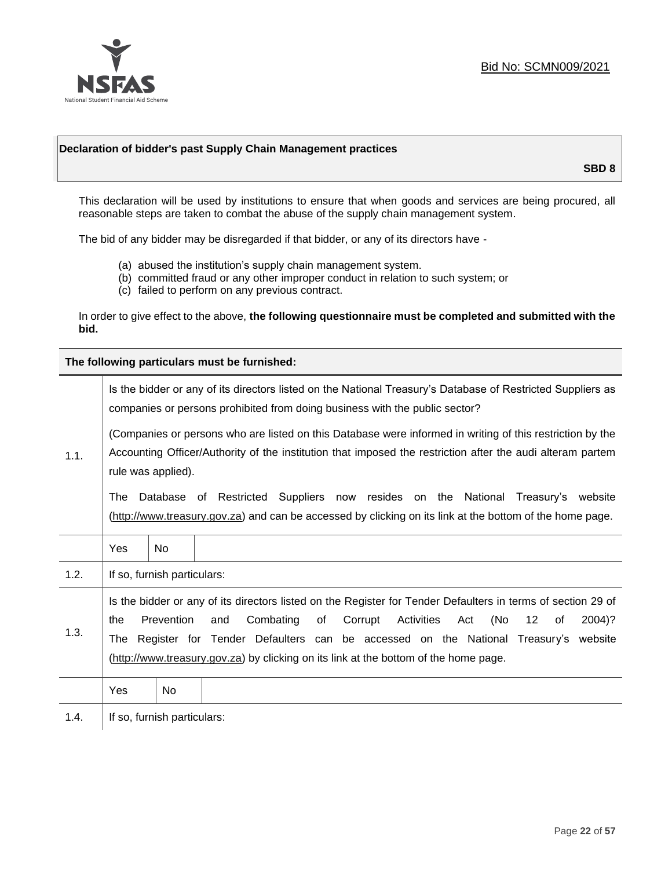

## **Declaration of bidder's past Supply Chain Management practices**

**SBD 8**

This declaration will be used by institutions to ensure that when goods and services are being procured, all reasonable steps are taken to combat the abuse of the supply chain management system.

The bid of any bidder may be disregarded if that bidder, or any of its directors have -

- (a) abused the institution's supply chain management system.
- (b) committed fraud or any other improper conduct in relation to such system; or
- (c) failed to perform on any previous contract.

In order to give effect to the above, **the following questionnaire must be completed and submitted with the bid.**

**The following particulars must be furnished:**

|                                                                                                                                                                                                                                                       |     |                             | Is the bidder or any of its directors listed on the National Treasury's Database of Restricted Suppliers as<br>companies or persons prohibited from doing business with the public sector?                                                                                                                                                                                           |
|-------------------------------------------------------------------------------------------------------------------------------------------------------------------------------------------------------------------------------------------------------|-----|-----------------------------|--------------------------------------------------------------------------------------------------------------------------------------------------------------------------------------------------------------------------------------------------------------------------------------------------------------------------------------------------------------------------------------|
| (Companies or persons who are listed on this Database were informed in writing of this restriction by the<br>Accounting Officer/Authority of the institution that imposed the restriction after the audi alteram partem<br>1.1.<br>rule was applied). |     |                             |                                                                                                                                                                                                                                                                                                                                                                                      |
|                                                                                                                                                                                                                                                       | The |                             | Database of Restricted Suppliers now resides on the National<br>Treasury's website<br>(http://www.treasury.gov.za) and can be accessed by clicking on its link at the bottom of the home page.                                                                                                                                                                                       |
|                                                                                                                                                                                                                                                       | Yes | <b>No</b>                   |                                                                                                                                                                                                                                                                                                                                                                                      |
| 1.2.                                                                                                                                                                                                                                                  |     | If so, furnish particulars: |                                                                                                                                                                                                                                                                                                                                                                                      |
| 1.3.                                                                                                                                                                                                                                                  | the | Prevention                  | Is the bidder or any of its directors listed on the Register for Tender Defaulters in terms of section 29 of<br>Activities<br>(No<br>Combating<br>of<br>Corrupt<br>12<br>2004)?<br>and<br>Act<br>of<br>The Register for Tender Defaulters can be accessed on the National Treasury's website<br>(http://www.treasury.gov.za) by clicking on its link at the bottom of the home page. |
|                                                                                                                                                                                                                                                       | Yes | No.                         |                                                                                                                                                                                                                                                                                                                                                                                      |
| 1.4.                                                                                                                                                                                                                                                  |     | If so, furnish particulars: |                                                                                                                                                                                                                                                                                                                                                                                      |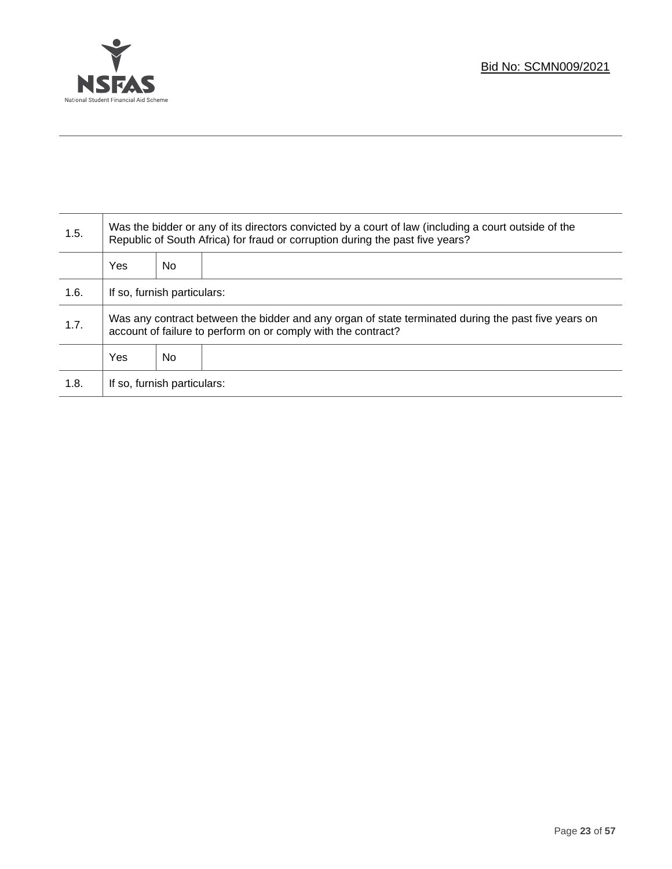

T

| 1.5. | Was the bidder or any of its directors convicted by a court of law (including a court outside of the<br>Republic of South Africa) for fraud or corruption during the past five years? |    |  |
|------|---------------------------------------------------------------------------------------------------------------------------------------------------------------------------------------|----|--|
|      | <b>Yes</b>                                                                                                                                                                            | No |  |
| 1.6. | If so, furnish particulars:                                                                                                                                                           |    |  |
| 1.7. | Was any contract between the bidder and any organ of state terminated during the past five years on<br>account of failure to perform on or comply with the contract?                  |    |  |
|      | <b>Yes</b><br>No                                                                                                                                                                      |    |  |
| 1.8. | If so, furnish particulars:                                                                                                                                                           |    |  |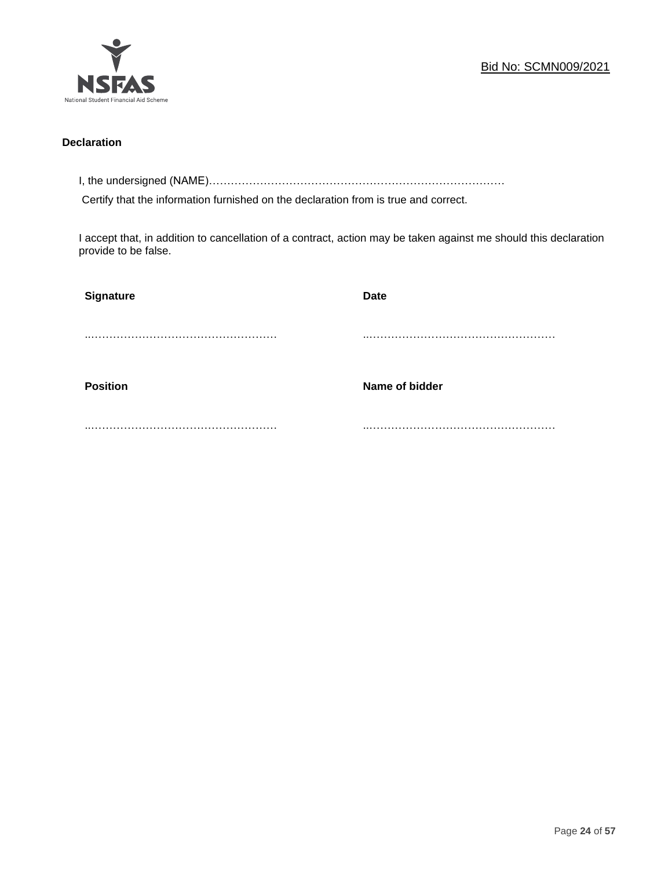

## **Declaration**

I, the undersigned (NAME)………………………………………………………………………

Certify that the information furnished on the declaration from is true and correct.

I accept that, in addition to cancellation of a contract, action may be taken against me should this declaration provide to be false.

| Signature       | <b>Date</b>    |
|-----------------|----------------|
|                 |                |
|                 |                |
| <b>Position</b> | Name of bidder |
|                 |                |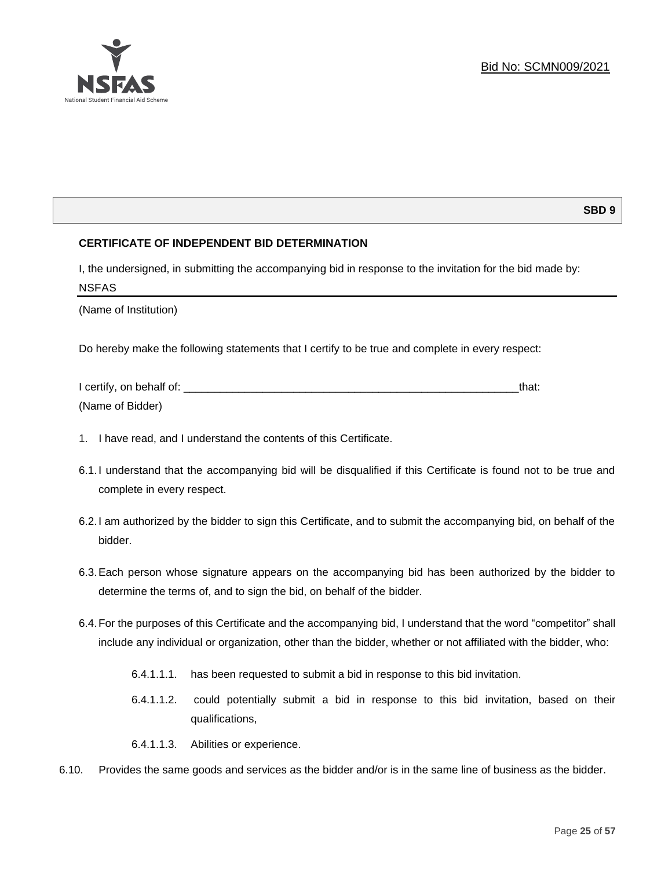

## **SBD 9**

## **CERTIFICATE OF INDEPENDENT BID DETERMINATION**

I, the undersigned, in submitting the accompanying bid in response to the invitation for the bid made by: NSFAS

(Name of Institution)

Do hereby make the following statements that I certify to be true and complete in every respect:

| I certify, on behalf of: |  |
|--------------------------|--|
| (Name of Bidder)         |  |

- 1. I have read, and I understand the contents of this Certificate.
- 6.1.I understand that the accompanying bid will be disqualified if this Certificate is found not to be true and complete in every respect.
- 6.2.I am authorized by the bidder to sign this Certificate, and to submit the accompanying bid, on behalf of the bidder.
- 6.3.Each person whose signature appears on the accompanying bid has been authorized by the bidder to determine the terms of, and to sign the bid, on behalf of the bidder.
- 6.4.For the purposes of this Certificate and the accompanying bid, I understand that the word "competitor" shall include any individual or organization, other than the bidder, whether or not affiliated with the bidder, who:
	- 6.4.1.1.1. has been requested to submit a bid in response to this bid invitation.
	- 6.4.1.1.2. could potentially submit a bid in response to this bid invitation, based on their qualifications,
	- 6.4.1.1.3. Abilities or experience.
- 6.10. Provides the same goods and services as the bidder and/or is in the same line of business as the bidder.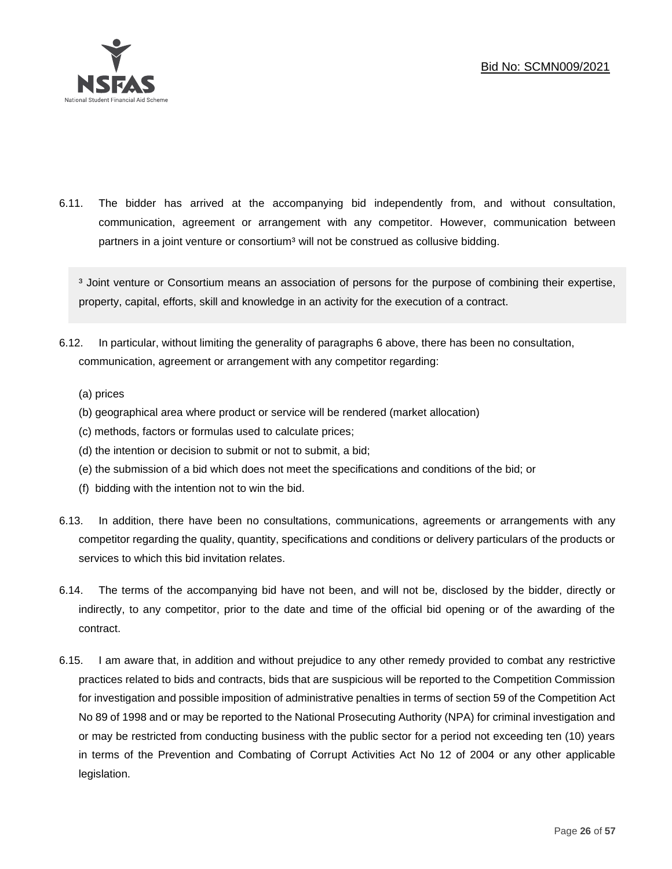

6.11. The bidder has arrived at the accompanying bid independently from, and without consultation, communication, agreement or arrangement with any competitor. However, communication between partners in a joint venture or consortium<sup>3</sup> will not be construed as collusive bidding.

<sup>3</sup> Joint venture or Consortium means an association of persons for the purpose of combining their expertise, property, capital, efforts, skill and knowledge in an activity for the execution of a contract.

- 6.12. In particular, without limiting the generality of paragraphs 6 above, there has been no consultation, communication, agreement or arrangement with any competitor regarding:
	- (a) prices
	- (b) geographical area where product or service will be rendered (market allocation)
	- (c) methods, factors or formulas used to calculate prices;
	- (d) the intention or decision to submit or not to submit, a bid;
	- (e) the submission of a bid which does not meet the specifications and conditions of the bid; or
	- (f) bidding with the intention not to win the bid.
- 6.13. In addition, there have been no consultations, communications, agreements or arrangements with any competitor regarding the quality, quantity, specifications and conditions or delivery particulars of the products or services to which this bid invitation relates.
- 6.14. The terms of the accompanying bid have not been, and will not be, disclosed by the bidder, directly or indirectly, to any competitor, prior to the date and time of the official bid opening or of the awarding of the contract.
- 6.15. I am aware that, in addition and without prejudice to any other remedy provided to combat any restrictive practices related to bids and contracts, bids that are suspicious will be reported to the Competition Commission for investigation and possible imposition of administrative penalties in terms of section 59 of the Competition Act No 89 of 1998 and or may be reported to the National Prosecuting Authority (NPA) for criminal investigation and or may be restricted from conducting business with the public sector for a period not exceeding ten (10) years in terms of the Prevention and Combating of Corrupt Activities Act No 12 of 2004 or any other applicable legislation.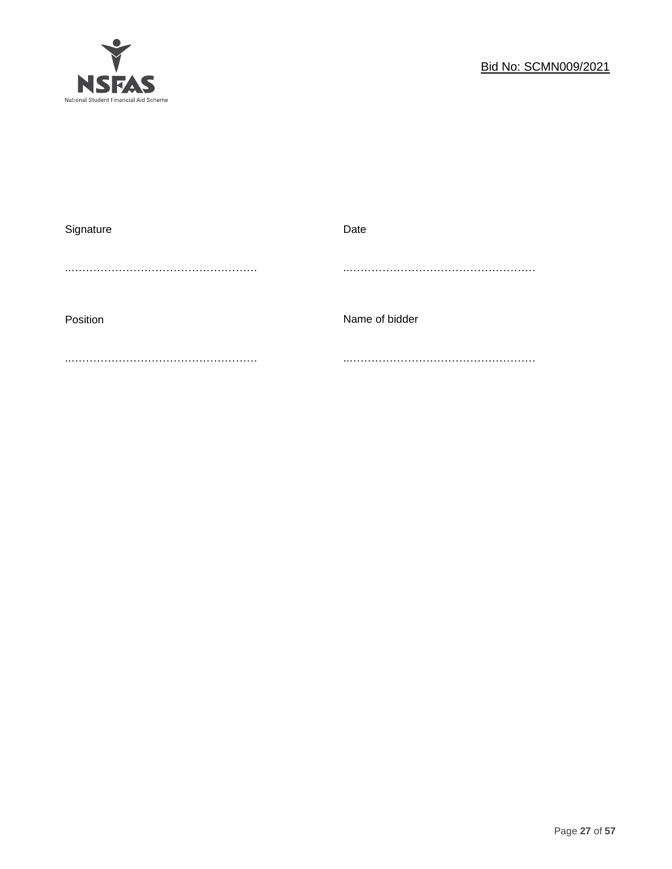

| Signature | Date           |
|-----------|----------------|
|           |                |
|           |                |
| Position  | Name of bidder |
|           |                |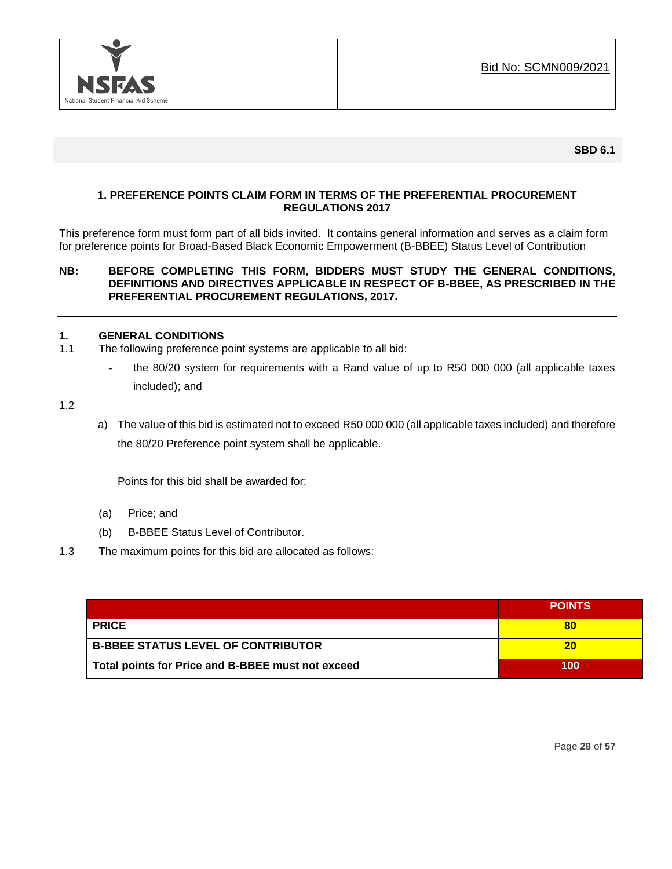

## **1. PREFERENCE POINTS CLAIM FORM IN TERMS OF THE PREFERENTIAL PROCUREMENT REGULATIONS 2017**

This preference form must form part of all bids invited. It contains general information and serves as a claim form for preference points for Broad-Based Black Economic Empowerment (B-BBEE) Status Level of Contribution

## **NB: BEFORE COMPLETING THIS FORM, BIDDERS MUST STUDY THE GENERAL CONDITIONS, DEFINITIONS AND DIRECTIVES APPLICABLE IN RESPECT OF B-BBEE, AS PRESCRIBED IN THE PREFERENTIAL PROCUREMENT REGULATIONS, 2017.**

## **1. GENERAL CONDITIONS**

- 1.1 The following preference point systems are applicable to all bid:
	- the 80/20 system for requirements with a Rand value of up to R50 000 000 (all applicable taxes included); and

1.2

a) The value of this bid is estimated not to exceed R50 000 000 (all applicable taxes included) and therefore the 80/20 Preference point system shall be applicable.

Points for this bid shall be awarded for:

- (a) Price; and
- (b) B-BBEE Status Level of Contributor.
- 1.3 The maximum points for this bid are allocated as follows:

|                                                   | <b>POINTS</b> |
|---------------------------------------------------|---------------|
| <b>PRICE</b>                                      | 80            |
| <b>B-BBEE STATUS LEVEL OF CONTRIBUTOR</b>         | 20            |
| Total points for Price and B-BBEE must not exceed | 100           |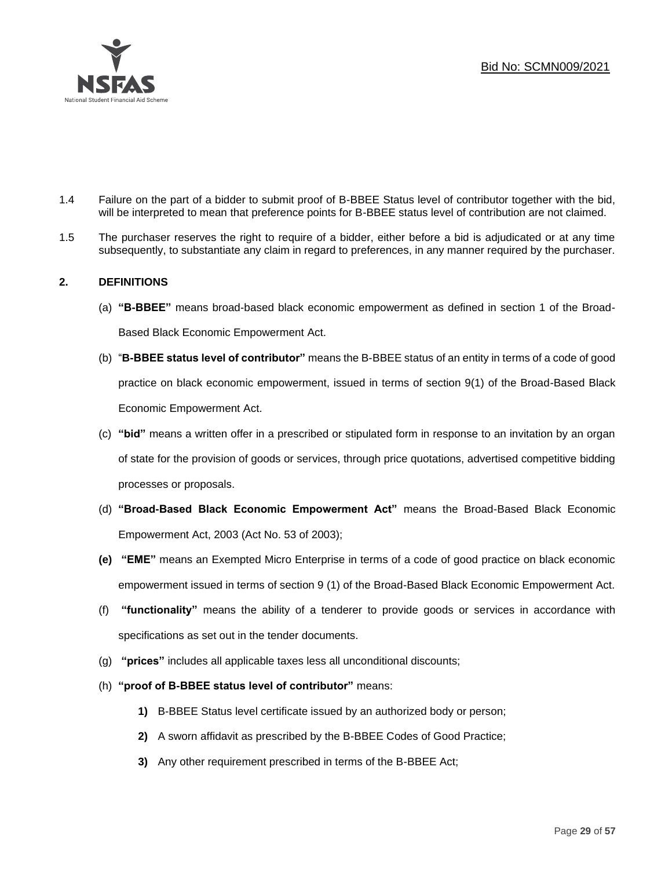

- 1.4 Failure on the part of a bidder to submit proof of B-BBEE Status level of contributor together with the bid, will be interpreted to mean that preference points for B-BBEE status level of contribution are not claimed.
- 1.5 The purchaser reserves the right to require of a bidder, either before a bid is adjudicated or at any time subsequently, to substantiate any claim in regard to preferences, in any manner required by the purchaser.

## **2. DEFINITIONS**

- (a) **"B-BBEE"** means broad-based black economic empowerment as defined in section 1 of the Broad-Based Black Economic Empowerment Act.
- (b) "**B-BBEE status level of contributor"** means the B-BBEE status of an entity in terms of a code of good practice on black economic empowerment, issued in terms of section 9(1) of the Broad-Based Black Economic Empowerment Act.
- (c) **"bid"** means a written offer in a prescribed or stipulated form in response to an invitation by an organ of state for the provision of goods or services, through price quotations, advertised competitive bidding processes or proposals.
- (d) **"Broad-Based Black Economic Empowerment Act"** means the Broad-Based Black Economic Empowerment Act, 2003 (Act No. 53 of 2003);
- **(e) "EME"** means an Exempted Micro Enterprise in terms of a code of good practice on black economic empowerment issued in terms of section 9 (1) of the Broad-Based Black Economic Empowerment Act.
- (f) **"functionality"** means the ability of a tenderer to provide goods or services in accordance with specifications as set out in the tender documents.
- (g) **"prices"** includes all applicable taxes less all unconditional discounts;
- (h) **"proof of B-BBEE status level of contributor"** means:
	- **1)** B-BBEE Status level certificate issued by an authorized body or person;
	- **2)** A sworn affidavit as prescribed by the B-BBEE Codes of Good Practice;
	- **3)** Any other requirement prescribed in terms of the B-BBEE Act;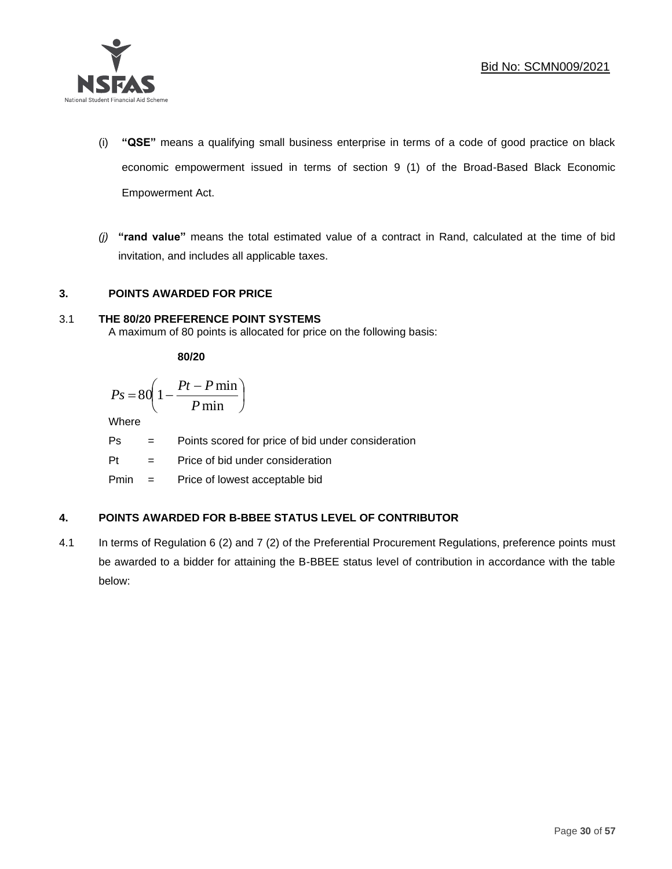

- (i) **"QSE"** means a qualifying small business enterprise in terms of a code of good practice on black economic empowerment issued in terms of section 9 (1) of the Broad-Based Black Economic Empowerment Act.
- *(j)* **"rand value"** means the total estimated value of a contract in Rand, calculated at the time of bid invitation, and includes all applicable taxes.

## **3. POINTS AWARDED FOR PRICE**

## 3.1 **THE 80/20 PREFERENCE POINT SYSTEMS**

A maximum of 80 points is allocated for price on the following basis:

**80/20**

$$
Ps = 80 \left( 1 - \frac{Pt - P \min}{P \min} \right)
$$

Where

Ps = Points scored for price of bid under consideration

l

 $Pt =$  Price of bid under consideration

Pmin = Price of lowest acceptable bid

## **4. POINTS AWARDED FOR B-BBEE STATUS LEVEL OF CONTRIBUTOR**

4.1 In terms of Regulation 6 (2) and 7 (2) of the Preferential Procurement Regulations, preference points must be awarded to a bidder for attaining the B-BBEE status level of contribution in accordance with the table below: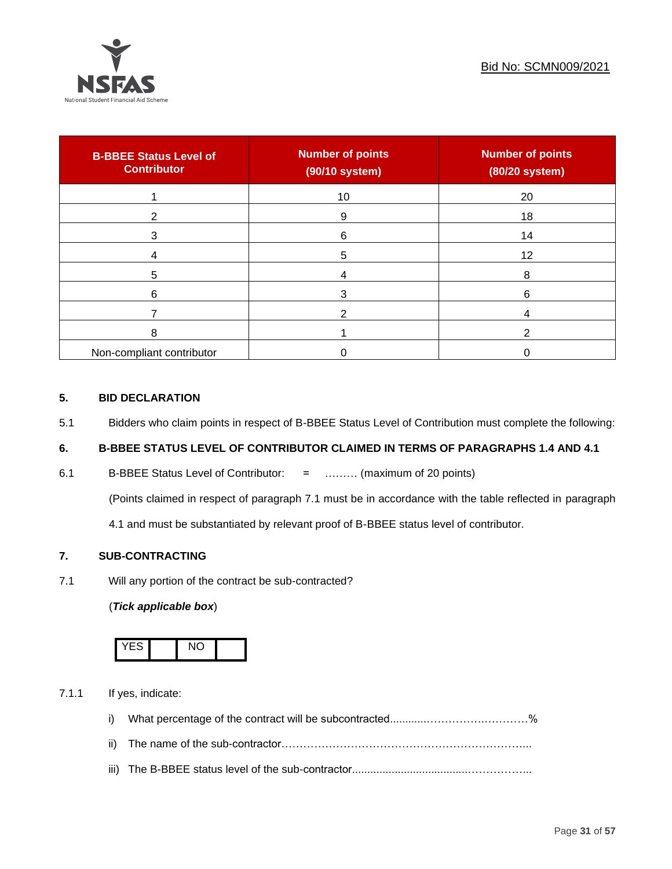

| <b>B-BBEE Status Level of</b><br><b>Contributor</b> | <b>Number of points</b><br>(90/10 system) | <b>Number of points</b><br>(80/20 system) |
|-----------------------------------------------------|-------------------------------------------|-------------------------------------------|
|                                                     | 10                                        | 20                                        |
| 2                                                   | 9                                         | 18                                        |
| 3                                                   | 6                                         | 14                                        |
|                                                     | 5                                         | 12                                        |
| 5                                                   |                                           | 8                                         |
| 6                                                   |                                           | 6                                         |
|                                                     |                                           |                                           |
| 8                                                   |                                           | ົ                                         |
| Non-compliant contributor                           |                                           |                                           |

## **5. BID DECLARATION**

5.1 Bidders who claim points in respect of B-BBEE Status Level of Contribution must complete the following:

## **6. B-BBEE STATUS LEVEL OF CONTRIBUTOR CLAIMED IN TERMS OF PARAGRAPHS 1.4 AND 4.1**

6.1 B-BBEE Status Level of Contributor: = ……… (maximum of 20 points)

(Points claimed in respect of paragraph 7.1 must be in accordance with the table reflected in paragraph

4.1 and must be substantiated by relevant proof of B-BBEE status level of contributor.

## **7. SUB-CONTRACTING**

7.1 Will any portion of the contract be sub-contracted?

## (*Tick applicable box*)



7.1.1 If yes, indicate:

- i) What percentage of the contract will be subcontracted............…………….…………%
- ii) The name of the sub-contractor…………………………………………………………...
- iii) The B-BBEE status level of the sub-contractor......................................……………...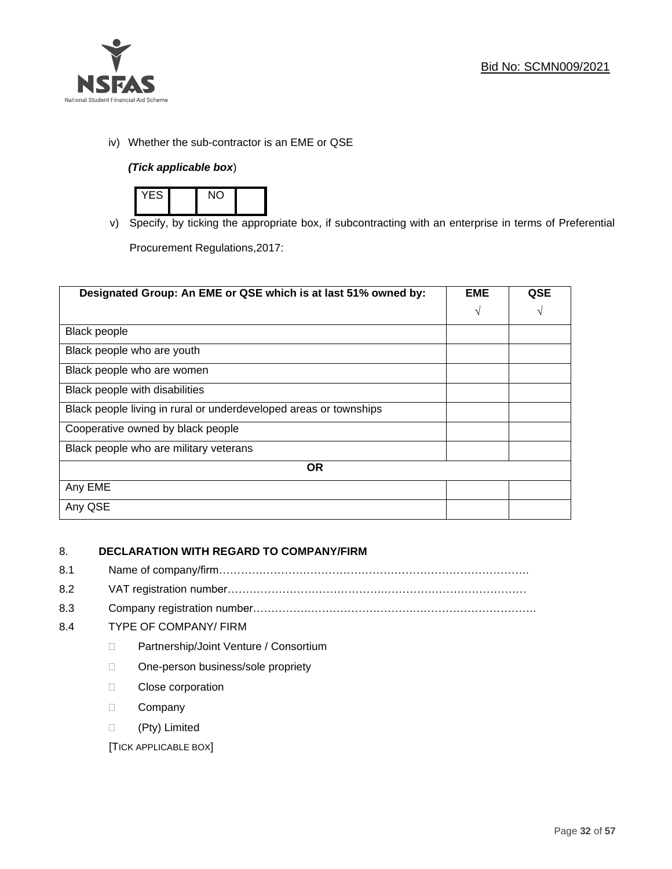

iv) Whether the sub-contractor is an EME or QSE

## *(Tick applicable box*)



v) Specify, by ticking the appropriate box, if subcontracting with an enterprise in terms of Preferential

Procurement Regulations,2017:

| Designated Group: An EME or QSE which is at last 51% owned by:    |            | QSE |
|-------------------------------------------------------------------|------------|-----|
|                                                                   | $\sqrt{ }$ | V   |
| <b>Black people</b>                                               |            |     |
| Black people who are youth                                        |            |     |
| Black people who are women                                        |            |     |
| Black people with disabilities                                    |            |     |
| Black people living in rural or underdeveloped areas or townships |            |     |
| Cooperative owned by black people                                 |            |     |
| Black people who are military veterans                            |            |     |
| <b>OR</b>                                                         |            |     |
| Any EME                                                           |            |     |
| Any QSE                                                           |            |     |

## 8. **DECLARATION WITH REGARD TO COMPANY/FIRM**

- 8.1 Name of company/firm………………………………………………………………………….
- 8.2 VAT registration number…………………………………….…………………………………
- 8.3 Company registration number…………….……………………….…………………………….

## 8.4 TYPE OF COMPANY/ FIRM

- D Partnership/Joint Venture / Consortium
- □ One-person business/sole propriety
- D Close corporation
- D Company
- (Pty) Limited

[TICK APPLICABLE BOX]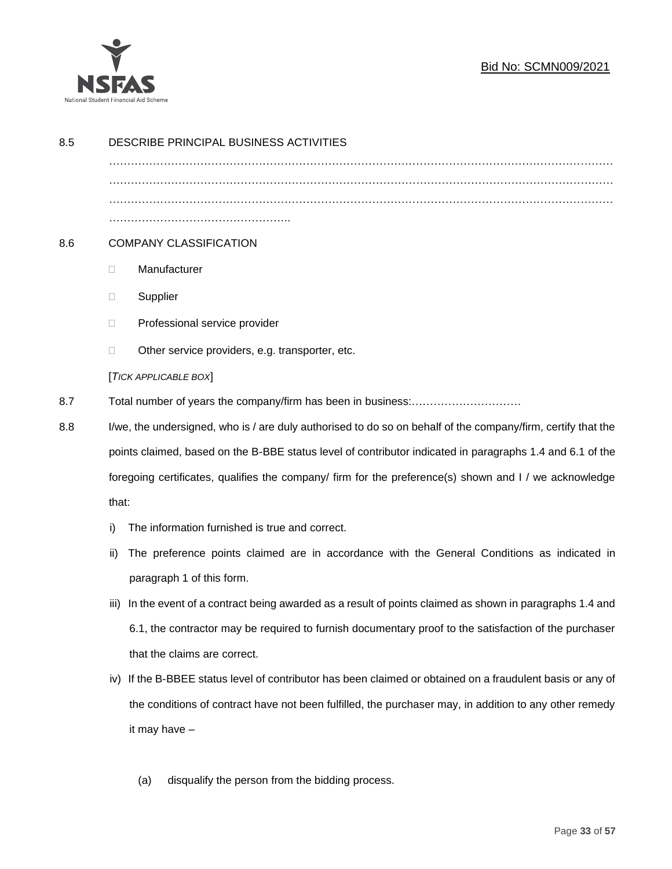

## Bid No: SCMN009/2021

| 8.5 | DESCRIBE PRINCIPAL BUSINESS ACTIVITIES                                                                       |                                                                                                           |  |
|-----|--------------------------------------------------------------------------------------------------------------|-----------------------------------------------------------------------------------------------------------|--|
|     |                                                                                                              |                                                                                                           |  |
|     |                                                                                                              |                                                                                                           |  |
|     |                                                                                                              |                                                                                                           |  |
| 8.6 |                                                                                                              | <b>COMPANY CLASSIFICATION</b>                                                                             |  |
|     | $\Box$                                                                                                       | Manufacturer                                                                                              |  |
|     | $\Box$                                                                                                       | Supplier                                                                                                  |  |
|     | $\Box$                                                                                                       | Professional service provider                                                                             |  |
|     | □                                                                                                            | Other service providers, e.g. transporter, etc.                                                           |  |
|     |                                                                                                              | [TICK APPLICABLE BOX]                                                                                     |  |
| 8.7 |                                                                                                              |                                                                                                           |  |
| 8.8 | I/we, the undersigned, who is / are duly authorised to do so on behalf of the company/firm, certify that the |                                                                                                           |  |
|     |                                                                                                              | points claimed, based on the B-BBE status level of contributor indicated in paragraphs 1.4 and 6.1 of the |  |
|     | foregoing certificates, qualifies the company/ firm for the preference(s) shown and I / we acknowledge       |                                                                                                           |  |
|     | that:                                                                                                        |                                                                                                           |  |
|     | i)                                                                                                           | The information furnished is true and correct.                                                            |  |
|     | ii)                                                                                                          | The preference points claimed are in accordance with the General Conditions as indicated in               |  |
|     |                                                                                                              | paragraph 1 of this form.                                                                                 |  |
|     | iii)                                                                                                         | In the event of a contract being awarded as a result of points claimed as shown in paragraphs 1.4 and     |  |
|     |                                                                                                              | 6.1, the contractor may be required to furnish documentary proof to the satisfaction of the purchaser     |  |
|     |                                                                                                              | that the claims are correct.                                                                              |  |
|     | iv)                                                                                                          | If the B-BBEE status level of contributor has been claimed or obtained on a fraudulent basis or any of    |  |
|     |                                                                                                              | the conditions of contract have not been fulfilled, the purchaser may, in addition to any other remedy    |  |
|     |                                                                                                              | it may have -                                                                                             |  |
|     |                                                                                                              |                                                                                                           |  |
|     |                                                                                                              | disqualify the person from the bidding process.<br>(a)                                                    |  |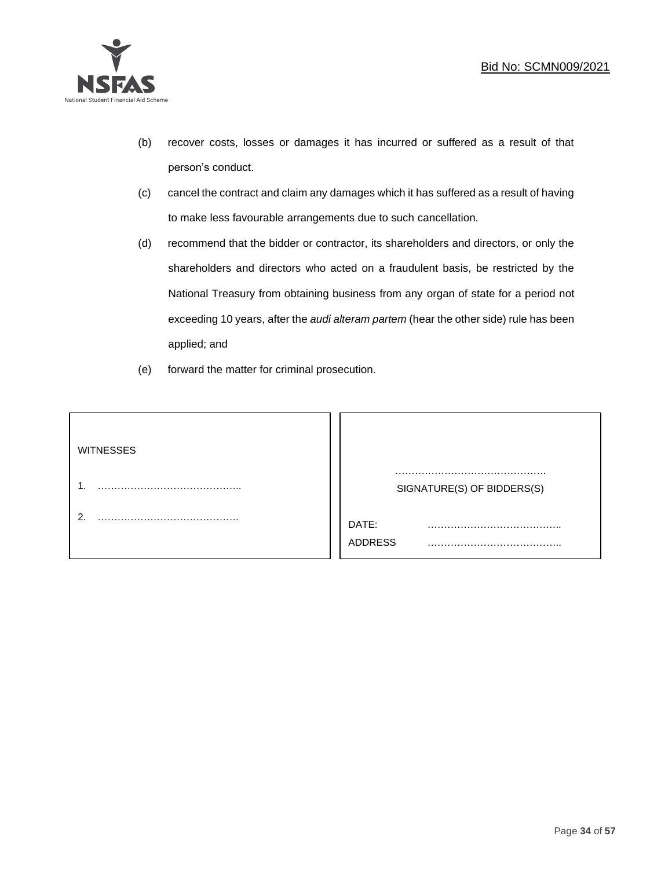

- (b) recover costs, losses or damages it has incurred or suffered as a result of that person's conduct.
- (c) cancel the contract and claim any damages which it has suffered as a result of having to make less favourable arrangements due to such cancellation.
- (d) recommend that the bidder or contractor, its shareholders and directors, or only the shareholders and directors who acted on a fraudulent basis, be restricted by the National Treasury from obtaining business from any organ of state for a period not exceeding 10 years, after the *audi alteram partem* (hear the other side) rule has been applied; and
- (e) forward the matter for criminal prosecution.

| <b>WITNESSES</b> |                            |
|------------------|----------------------------|
|                  | SIGNATURE(S) OF BIDDERS(S) |
|                  | DATE:<br>.<br>ADDRESS      |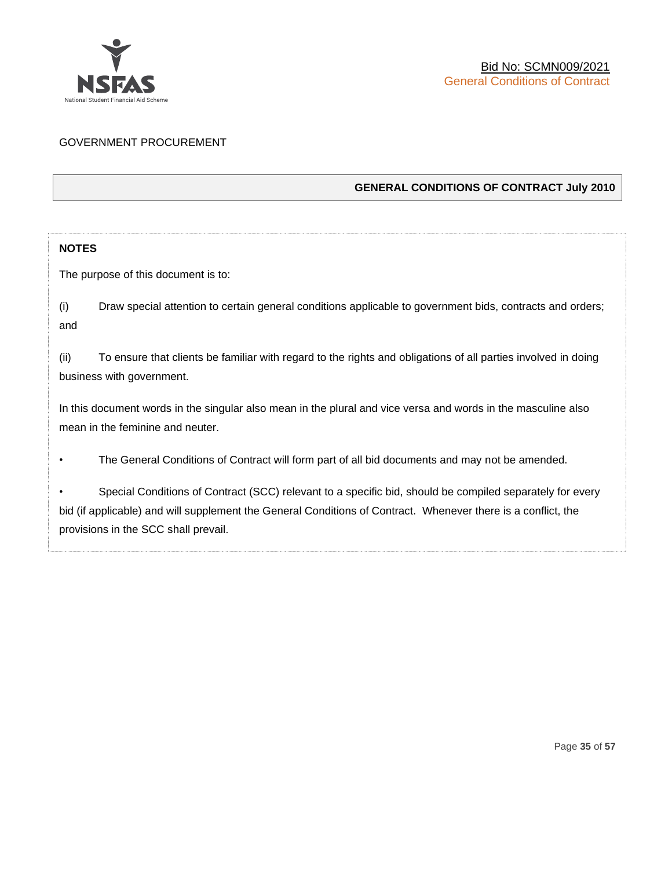

## GOVERNMENT PROCUREMENT

## **GENERAL CONDITIONS OF CONTRACT July 2010**

## **NOTES**

The purpose of this document is to:

(i) Draw special attention to certain general conditions applicable to government bids, contracts and orders; and

(ii) To ensure that clients be familiar with regard to the rights and obligations of all parties involved in doing business with government.

In this document words in the singular also mean in the plural and vice versa and words in the masculine also mean in the feminine and neuter.

• The General Conditions of Contract will form part of all bid documents and may not be amended.

Special Conditions of Contract (SCC) relevant to a specific bid, should be compiled separately for every bid (if applicable) and will supplement the General Conditions of Contract. Whenever there is a conflict, the provisions in the SCC shall prevail.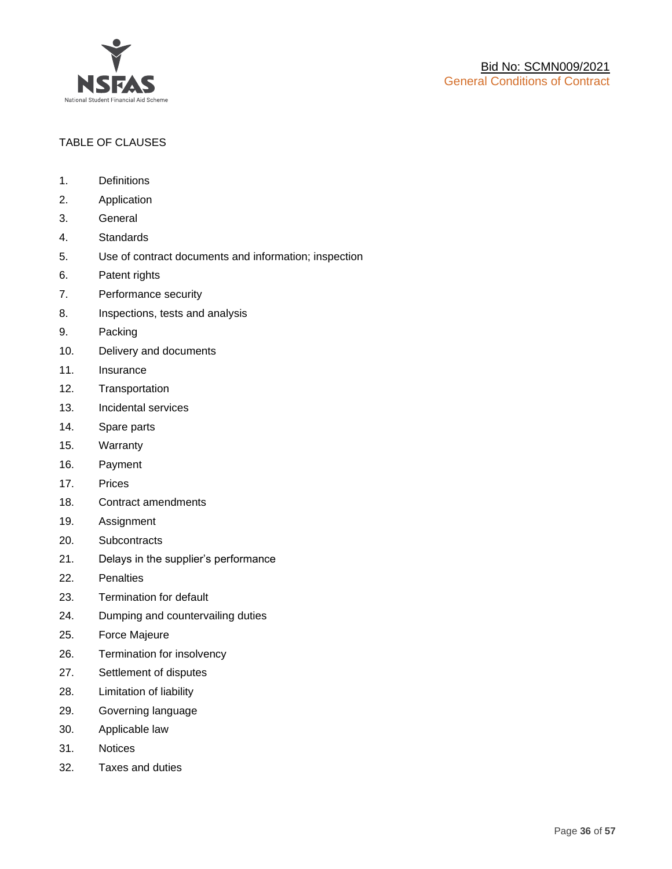

## TABLE OF CLAUSES

- 1. Definitions
- 2. Application
- 3. General
- 4. Standards
- 5. Use of contract documents and information; inspection
- 6. Patent rights
- 7. Performance security
- 8. Inspections, tests and analysis
- 9. Packing
- 10. Delivery and documents
- 11. Insurance
- 12. Transportation
- 13. Incidental services
- 14. Spare parts
- 15. Warranty
- 16. Payment
- 17. Prices
- 18. Contract amendments
- 19. Assignment
- 20. Subcontracts
- 21. Delays in the supplier's performance
- 22. Penalties
- 23. Termination for default
- 24. Dumping and countervailing duties
- 25. Force Majeure
- 26. Termination for insolvency
- 27. Settlement of disputes
- 28. Limitation of liability
- 29. Governing language
- 30. Applicable law
- 31. Notices
- 32. Taxes and duties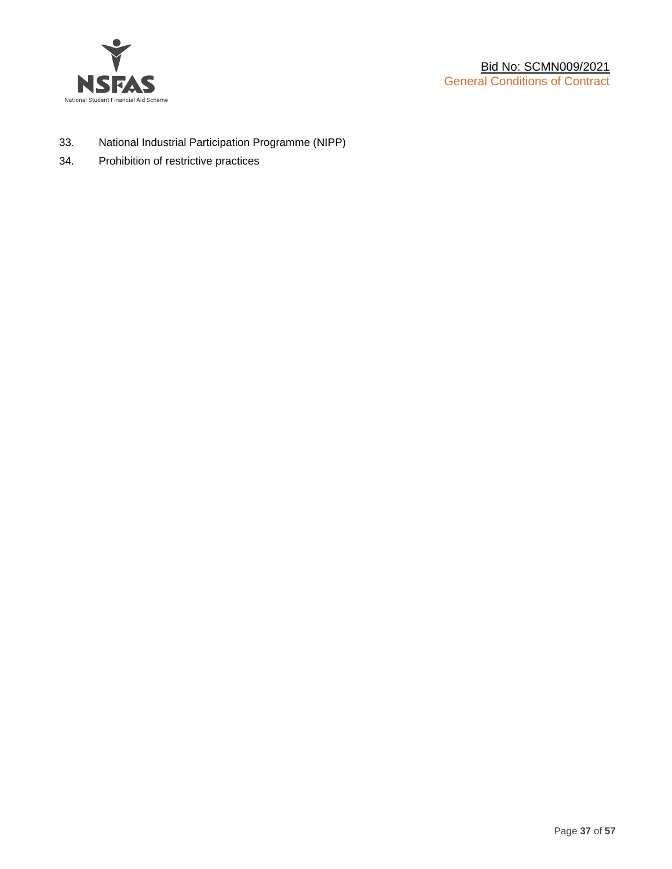

- 33. National Industrial Participation Programme (NIPP)
- 34. Prohibition of restrictive practices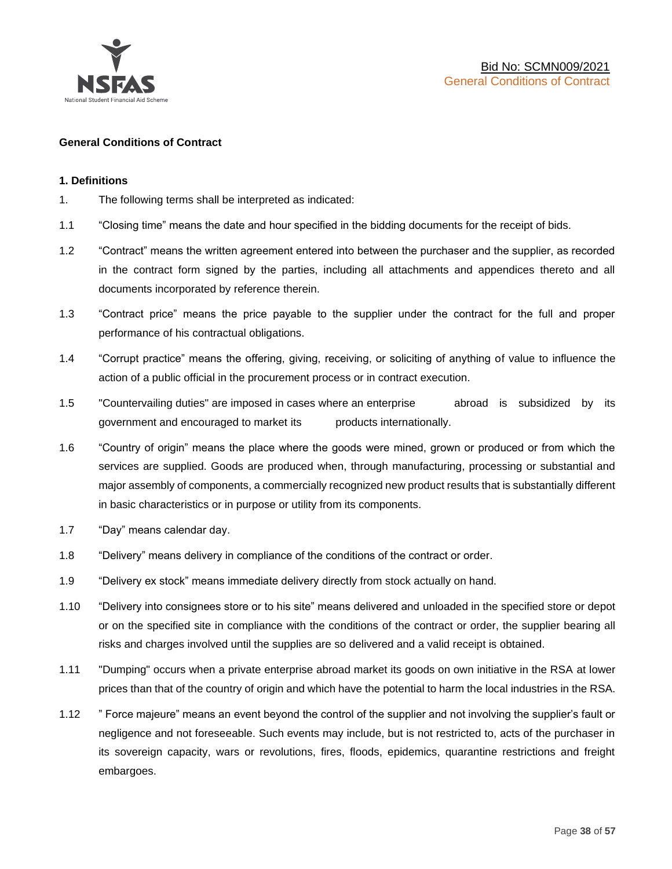

#### **General Conditions of Contract**

#### **1. Definitions**

- 1. The following terms shall be interpreted as indicated:
- 1.1 "Closing time" means the date and hour specified in the bidding documents for the receipt of bids.
- 1.2 "Contract" means the written agreement entered into between the purchaser and the supplier, as recorded in the contract form signed by the parties, including all attachments and appendices thereto and all documents incorporated by reference therein.
- 1.3 "Contract price" means the price payable to the supplier under the contract for the full and proper performance of his contractual obligations.
- 1.4 "Corrupt practice" means the offering, giving, receiving, or soliciting of anything of value to influence the action of a public official in the procurement process or in contract execution.
- 1.5 "Countervailing duties" are imposed in cases where an enterprise abroad is subsidized by its government and encouraged to market its products internationally.
- 1.6 "Country of origin" means the place where the goods were mined, grown or produced or from which the services are supplied. Goods are produced when, through manufacturing, processing or substantial and major assembly of components, a commercially recognized new product results that is substantially different in basic characteristics or in purpose or utility from its components.
- 1.7 "Day" means calendar day.
- 1.8 "Delivery" means delivery in compliance of the conditions of the contract or order.
- 1.9 "Delivery ex stock" means immediate delivery directly from stock actually on hand.
- 1.10 "Delivery into consignees store or to his site" means delivered and unloaded in the specified store or depot or on the specified site in compliance with the conditions of the contract or order, the supplier bearing all risks and charges involved until the supplies are so delivered and a valid receipt is obtained.
- 1.11 "Dumping" occurs when a private enterprise abroad market its goods on own initiative in the RSA at lower prices than that of the country of origin and which have the potential to harm the local industries in the RSA.
- 1.12 " Force majeure" means an event beyond the control of the supplier and not involving the supplier's fault or negligence and not foreseeable. Such events may include, but is not restricted to, acts of the purchaser in its sovereign capacity, wars or revolutions, fires, floods, epidemics, quarantine restrictions and freight embargoes.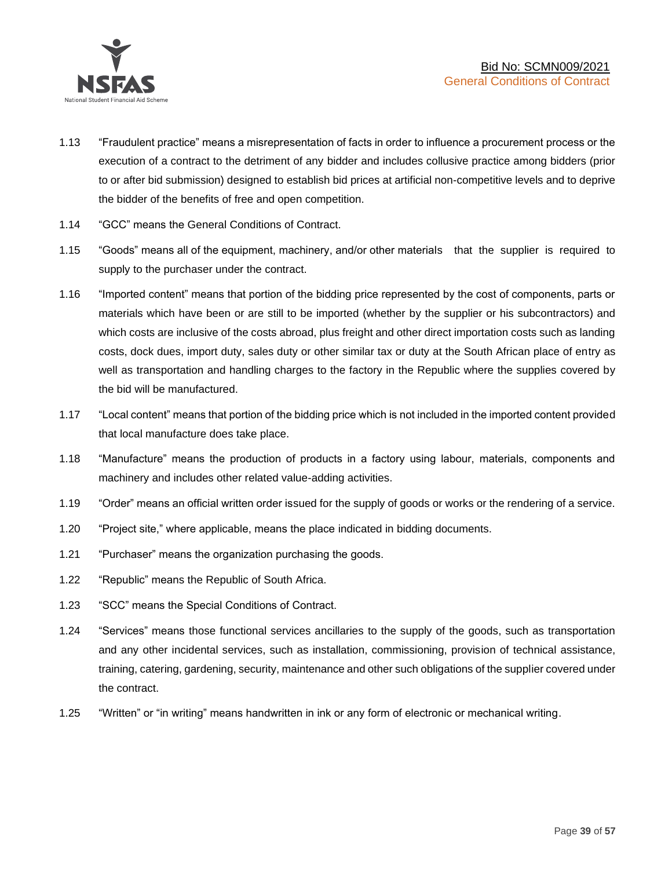

- 1.13 "Fraudulent practice" means a misrepresentation of facts in order to influence a procurement process or the execution of a contract to the detriment of any bidder and includes collusive practice among bidders (prior to or after bid submission) designed to establish bid prices at artificial non-competitive levels and to deprive the bidder of the benefits of free and open competition.
- 1.14 "GCC" means the General Conditions of Contract.
- 1.15 "Goods" means all of the equipment, machinery, and/or other materials that the supplier is required to supply to the purchaser under the contract.
- 1.16 "Imported content" means that portion of the bidding price represented by the cost of components, parts or materials which have been or are still to be imported (whether by the supplier or his subcontractors) and which costs are inclusive of the costs abroad, plus freight and other direct importation costs such as landing costs, dock dues, import duty, sales duty or other similar tax or duty at the South African place of entry as well as transportation and handling charges to the factory in the Republic where the supplies covered by the bid will be manufactured.
- 1.17 "Local content" means that portion of the bidding price which is not included in the imported content provided that local manufacture does take place.
- 1.18 "Manufacture" means the production of products in a factory using labour, materials, components and machinery and includes other related value-adding activities.
- 1.19 "Order" means an official written order issued for the supply of goods or works or the rendering of a service.
- 1.20 "Project site," where applicable, means the place indicated in bidding documents.
- 1.21 "Purchaser" means the organization purchasing the goods.
- 1.22 "Republic" means the Republic of South Africa.
- 1.23 "SCC" means the Special Conditions of Contract.
- 1.24 "Services" means those functional services ancillaries to the supply of the goods, such as transportation and any other incidental services, such as installation, commissioning, provision of technical assistance, training, catering, gardening, security, maintenance and other such obligations of the supplier covered under the contract.
- 1.25 "Written" or "in writing" means handwritten in ink or any form of electronic or mechanical writing.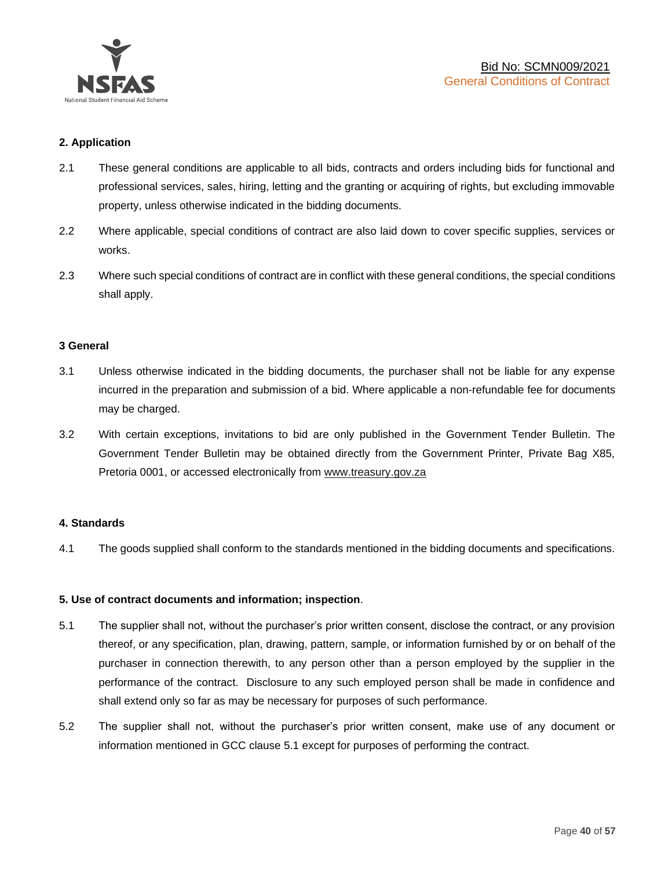

## **2. Application**

- 2.1 These general conditions are applicable to all bids, contracts and orders including bids for functional and professional services, sales, hiring, letting and the granting or acquiring of rights, but excluding immovable property, unless otherwise indicated in the bidding documents.
- 2.2 Where applicable, special conditions of contract are also laid down to cover specific supplies, services or works.
- 2.3 Where such special conditions of contract are in conflict with these general conditions, the special conditions shall apply.

#### **3 General**

- 3.1 Unless otherwise indicated in the bidding documents, the purchaser shall not be liable for any expense incurred in the preparation and submission of a bid. Where applicable a non-refundable fee for documents may be charged.
- 3.2 With certain exceptions, invitations to bid are only published in the Government Tender Bulletin. The Government Tender Bulletin may be obtained directly from the Government Printer, Private Bag X85, Pretoria 0001, or accessed electronically from [www.treasury.gov.za](http://www.treasury.gov.za/)

#### **4. Standards**

4.1 The goods supplied shall conform to the standards mentioned in the bidding documents and specifications.

#### **5. Use of contract documents and information; inspection**.

- 5.1 The supplier shall not, without the purchaser's prior written consent, disclose the contract, or any provision thereof, or any specification, plan, drawing, pattern, sample, or information furnished by or on behalf of the purchaser in connection therewith, to any person other than a person employed by the supplier in the performance of the contract. Disclosure to any such employed person shall be made in confidence and shall extend only so far as may be necessary for purposes of such performance.
- 5.2 The supplier shall not, without the purchaser's prior written consent, make use of any document or information mentioned in GCC clause 5.1 except for purposes of performing the contract.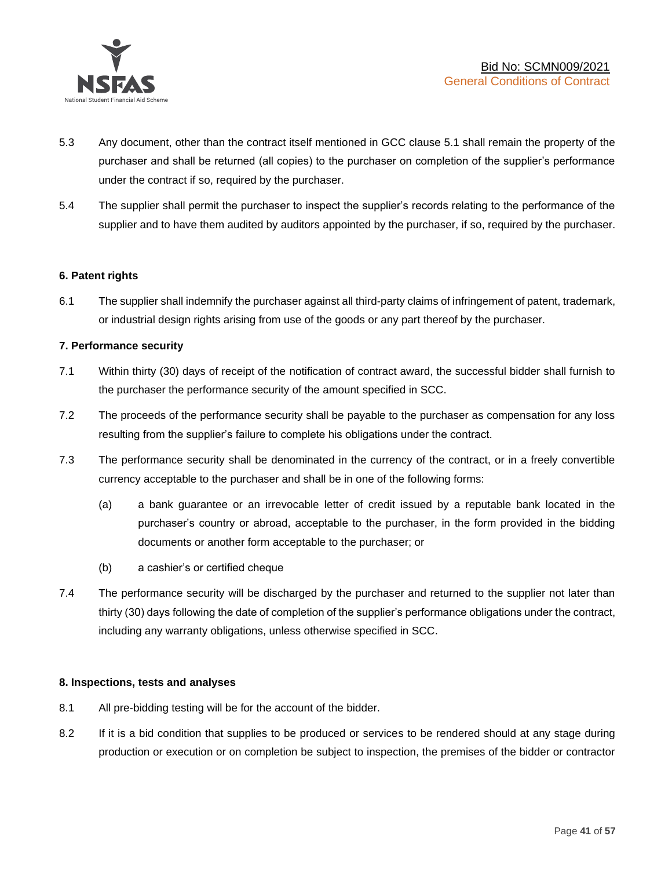

- 5.3 Any document, other than the contract itself mentioned in GCC clause 5.1 shall remain the property of the purchaser and shall be returned (all copies) to the purchaser on completion of the supplier's performance under the contract if so, required by the purchaser.
- 5.4 The supplier shall permit the purchaser to inspect the supplier's records relating to the performance of the supplier and to have them audited by auditors appointed by the purchaser, if so, required by the purchaser.

#### **6. Patent rights**

6.1 The supplier shall indemnify the purchaser against all third-party claims of infringement of patent, trademark, or industrial design rights arising from use of the goods or any part thereof by the purchaser.

## **7. Performance security**

- 7.1 Within thirty (30) days of receipt of the notification of contract award, the successful bidder shall furnish to the purchaser the performance security of the amount specified in SCC.
- 7.2 The proceeds of the performance security shall be payable to the purchaser as compensation for any loss resulting from the supplier's failure to complete his obligations under the contract.
- 7.3 The performance security shall be denominated in the currency of the contract, or in a freely convertible currency acceptable to the purchaser and shall be in one of the following forms:
	- (a) a bank guarantee or an irrevocable letter of credit issued by a reputable bank located in the purchaser's country or abroad, acceptable to the purchaser, in the form provided in the bidding documents or another form acceptable to the purchaser; or
	- (b) a cashier's or certified cheque
- 7.4 The performance security will be discharged by the purchaser and returned to the supplier not later than thirty (30) days following the date of completion of the supplier's performance obligations under the contract, including any warranty obligations, unless otherwise specified in SCC.

#### **8. Inspections, tests and analyses**

- 8.1 All pre-bidding testing will be for the account of the bidder.
- 8.2 If it is a bid condition that supplies to be produced or services to be rendered should at any stage during production or execution or on completion be subject to inspection, the premises of the bidder or contractor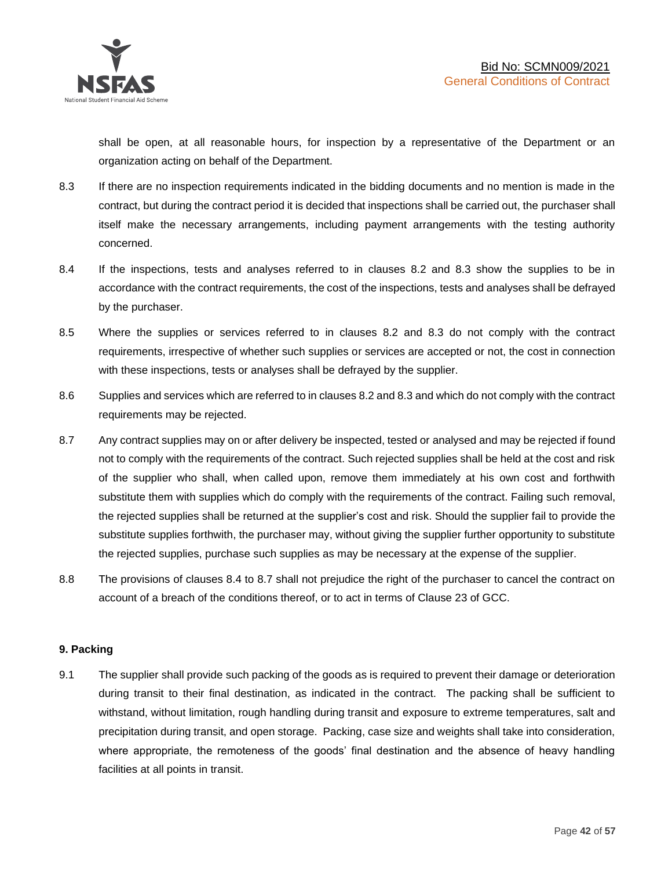shall be open, at all reasonable hours, for inspection by a representative of the Department or an organization acting on behalf of the Department.

- 8.3 If there are no inspection requirements indicated in the bidding documents and no mention is made in the contract, but during the contract period it is decided that inspections shall be carried out, the purchaser shall itself make the necessary arrangements, including payment arrangements with the testing authority concerned.
- 8.4 If the inspections, tests and analyses referred to in clauses 8.2 and 8.3 show the supplies to be in accordance with the contract requirements, the cost of the inspections, tests and analyses shall be defrayed by the purchaser.
- 8.5 Where the supplies or services referred to in clauses 8.2 and 8.3 do not comply with the contract requirements, irrespective of whether such supplies or services are accepted or not, the cost in connection with these inspections, tests or analyses shall be defrayed by the supplier.
- 8.6 Supplies and services which are referred to in clauses 8.2 and 8.3 and which do not comply with the contract requirements may be rejected.
- 8.7 Any contract supplies may on or after delivery be inspected, tested or analysed and may be rejected if found not to comply with the requirements of the contract. Such rejected supplies shall be held at the cost and risk of the supplier who shall, when called upon, remove them immediately at his own cost and forthwith substitute them with supplies which do comply with the requirements of the contract. Failing such removal, the rejected supplies shall be returned at the supplier's cost and risk. Should the supplier fail to provide the substitute supplies forthwith, the purchaser may, without giving the supplier further opportunity to substitute the rejected supplies, purchase such supplies as may be necessary at the expense of the supplier.
- 8.8 The provisions of clauses 8.4 to 8.7 shall not prejudice the right of the purchaser to cancel the contract on account of a breach of the conditions thereof, or to act in terms of Clause 23 of GCC.

## **9. Packing**

9.1 The supplier shall provide such packing of the goods as is required to prevent their damage or deterioration during transit to their final destination, as indicated in the contract. The packing shall be sufficient to withstand, without limitation, rough handling during transit and exposure to extreme temperatures, salt and precipitation during transit, and open storage. Packing, case size and weights shall take into consideration, where appropriate, the remoteness of the goods' final destination and the absence of heavy handling facilities at all points in transit.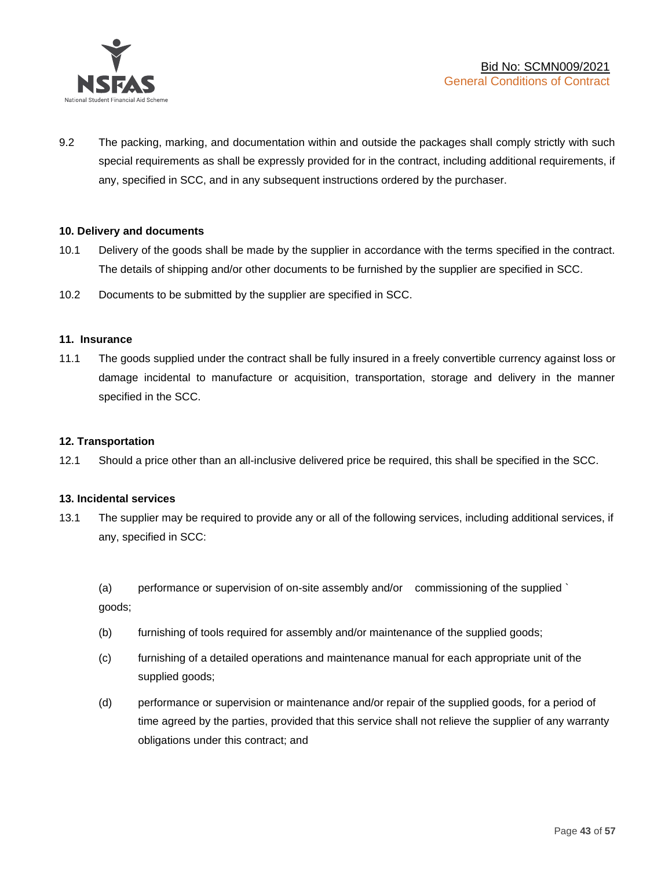

9.2 The packing, marking, and documentation within and outside the packages shall comply strictly with such special requirements as shall be expressly provided for in the contract, including additional requirements, if any, specified in SCC, and in any subsequent instructions ordered by the purchaser.

#### **10. Delivery and documents**

- 10.1 Delivery of the goods shall be made by the supplier in accordance with the terms specified in the contract. The details of shipping and/or other documents to be furnished by the supplier are specified in SCC.
- 10.2 Documents to be submitted by the supplier are specified in SCC.

#### **11. Insurance**

11.1 The goods supplied under the contract shall be fully insured in a freely convertible currency against loss or damage incidental to manufacture or acquisition, transportation, storage and delivery in the manner specified in the SCC.

#### **12. Transportation**

12.1 Should a price other than an all-inclusive delivered price be required, this shall be specified in the SCC.

#### **13. Incidental services**

13.1 The supplier may be required to provide any or all of the following services, including additional services, if any, specified in SCC:

(a) performance or supervision of on-site assembly and/or commissioning of the supplied ` goods;

- (b) furnishing of tools required for assembly and/or maintenance of the supplied goods;
- (c) furnishing of a detailed operations and maintenance manual for each appropriate unit of the supplied goods;
- (d) performance or supervision or maintenance and/or repair of the supplied goods, for a period of time agreed by the parties, provided that this service shall not relieve the supplier of any warranty obligations under this contract; and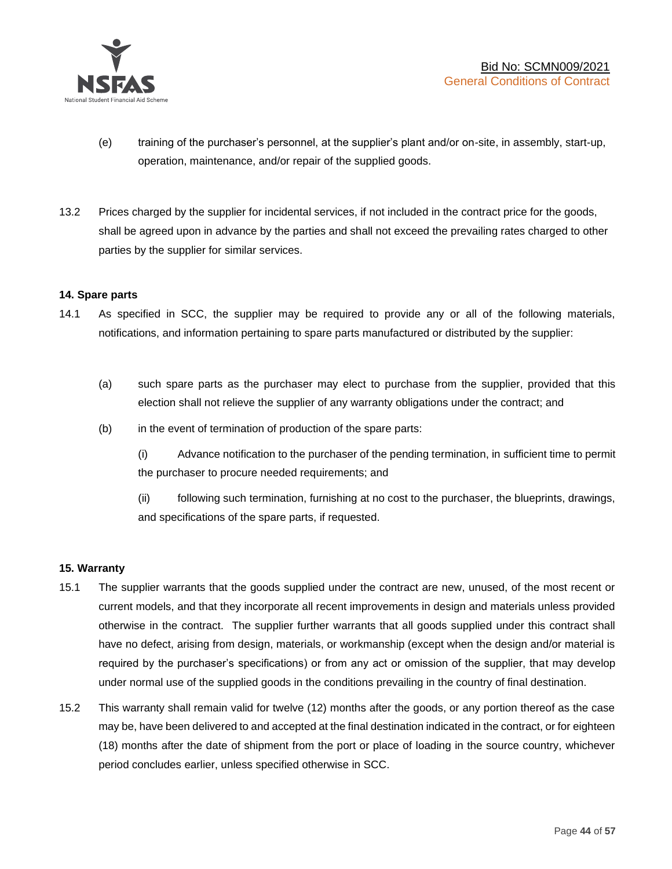

- (e) training of the purchaser's personnel, at the supplier's plant and/or on-site, in assembly, start-up, operation, maintenance, and/or repair of the supplied goods.
- 13.2 Prices charged by the supplier for incidental services, if not included in the contract price for the goods, shall be agreed upon in advance by the parties and shall not exceed the prevailing rates charged to other parties by the supplier for similar services.

## **14. Spare parts**

- 14.1 As specified in SCC, the supplier may be required to provide any or all of the following materials, notifications, and information pertaining to spare parts manufactured or distributed by the supplier:
	- (a) such spare parts as the purchaser may elect to purchase from the supplier, provided that this election shall not relieve the supplier of any warranty obligations under the contract; and
	- (b) in the event of termination of production of the spare parts:

(i) Advance notification to the purchaser of the pending termination, in sufficient time to permit the purchaser to procure needed requirements; and

(ii) following such termination, furnishing at no cost to the purchaser, the blueprints, drawings, and specifications of the spare parts, if requested.

#### **15. Warranty**

- 15.1 The supplier warrants that the goods supplied under the contract are new, unused, of the most recent or current models, and that they incorporate all recent improvements in design and materials unless provided otherwise in the contract. The supplier further warrants that all goods supplied under this contract shall have no defect, arising from design, materials, or workmanship (except when the design and/or material is required by the purchaser's specifications) or from any act or omission of the supplier, that may develop under normal use of the supplied goods in the conditions prevailing in the country of final destination.
- 15.2 This warranty shall remain valid for twelve (12) months after the goods, or any portion thereof as the case may be, have been delivered to and accepted at the final destination indicated in the contract, or for eighteen (18) months after the date of shipment from the port or place of loading in the source country, whichever period concludes earlier, unless specified otherwise in SCC.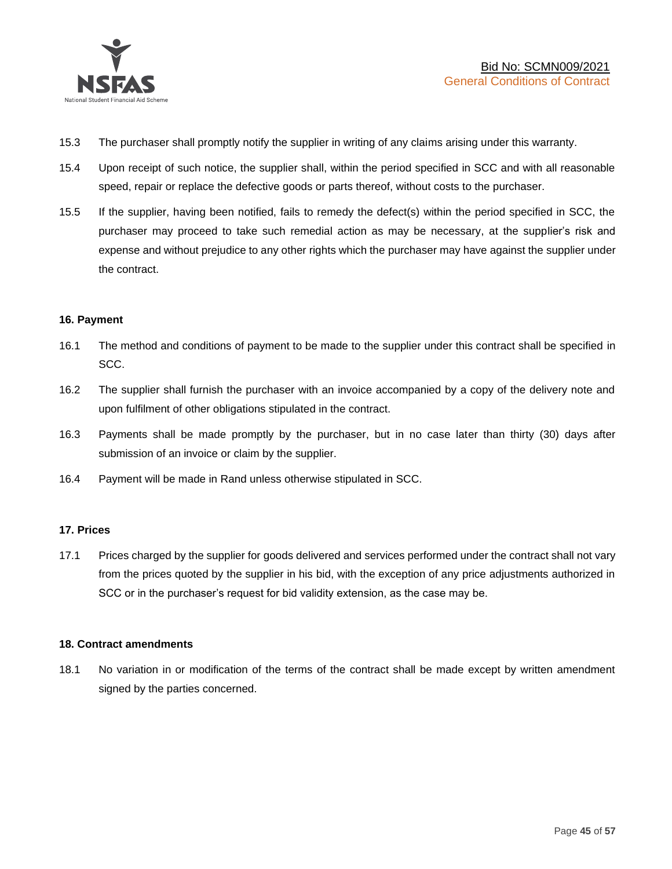

- 15.3 The purchaser shall promptly notify the supplier in writing of any claims arising under this warranty.
- 15.4 Upon receipt of such notice, the supplier shall, within the period specified in SCC and with all reasonable speed, repair or replace the defective goods or parts thereof, without costs to the purchaser.
- 15.5 If the supplier, having been notified, fails to remedy the defect(s) within the period specified in SCC, the purchaser may proceed to take such remedial action as may be necessary, at the supplier's risk and expense and without prejudice to any other rights which the purchaser may have against the supplier under the contract.

## **16. Payment**

- 16.1 The method and conditions of payment to be made to the supplier under this contract shall be specified in SCC.
- 16.2 The supplier shall furnish the purchaser with an invoice accompanied by a copy of the delivery note and upon fulfilment of other obligations stipulated in the contract.
- 16.3 Payments shall be made promptly by the purchaser, but in no case later than thirty (30) days after submission of an invoice or claim by the supplier.
- 16.4 Payment will be made in Rand unless otherwise stipulated in SCC.

#### **17. Prices**

17.1 Prices charged by the supplier for goods delivered and services performed under the contract shall not vary from the prices quoted by the supplier in his bid, with the exception of any price adjustments authorized in SCC or in the purchaser's request for bid validity extension, as the case may be.

#### **18. Contract amendments**

18.1 No variation in or modification of the terms of the contract shall be made except by written amendment signed by the parties concerned.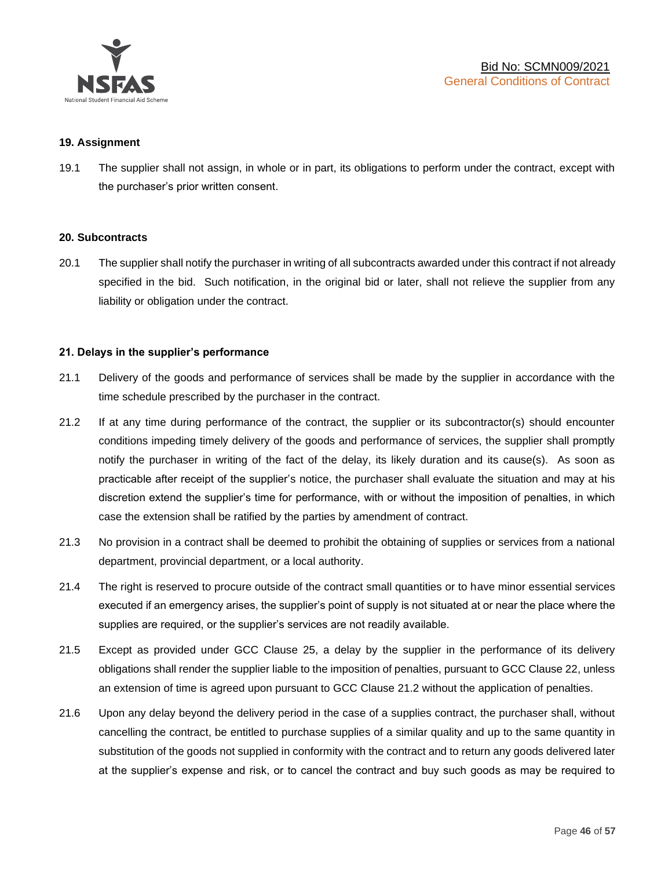

#### **19. Assignment**

19.1 The supplier shall not assign, in whole or in part, its obligations to perform under the contract, except with the purchaser's prior written consent.

#### **20. Subcontracts**

20.1 The supplier shall notify the purchaser in writing of all subcontracts awarded under this contract if not already specified in the bid. Such notification, in the original bid or later, shall not relieve the supplier from any liability or obligation under the contract.

#### **21. Delays in the supplier's performance**

- 21.1 Delivery of the goods and performance of services shall be made by the supplier in accordance with the time schedule prescribed by the purchaser in the contract.
- 21.2 If at any time during performance of the contract, the supplier or its subcontractor(s) should encounter conditions impeding timely delivery of the goods and performance of services, the supplier shall promptly notify the purchaser in writing of the fact of the delay, its likely duration and its cause(s). As soon as practicable after receipt of the supplier's notice, the purchaser shall evaluate the situation and may at his discretion extend the supplier's time for performance, with or without the imposition of penalties, in which case the extension shall be ratified by the parties by amendment of contract.
- 21.3 No provision in a contract shall be deemed to prohibit the obtaining of supplies or services from a national department, provincial department, or a local authority.
- 21.4 The right is reserved to procure outside of the contract small quantities or to have minor essential services executed if an emergency arises, the supplier's point of supply is not situated at or near the place where the supplies are required, or the supplier's services are not readily available.
- 21.5 Except as provided under GCC Clause 25, a delay by the supplier in the performance of its delivery obligations shall render the supplier liable to the imposition of penalties, pursuant to GCC Clause 22, unless an extension of time is agreed upon pursuant to GCC Clause 21.2 without the application of penalties.
- 21.6 Upon any delay beyond the delivery period in the case of a supplies contract, the purchaser shall, without cancelling the contract, be entitled to purchase supplies of a similar quality and up to the same quantity in substitution of the goods not supplied in conformity with the contract and to return any goods delivered later at the supplier's expense and risk, or to cancel the contract and buy such goods as may be required to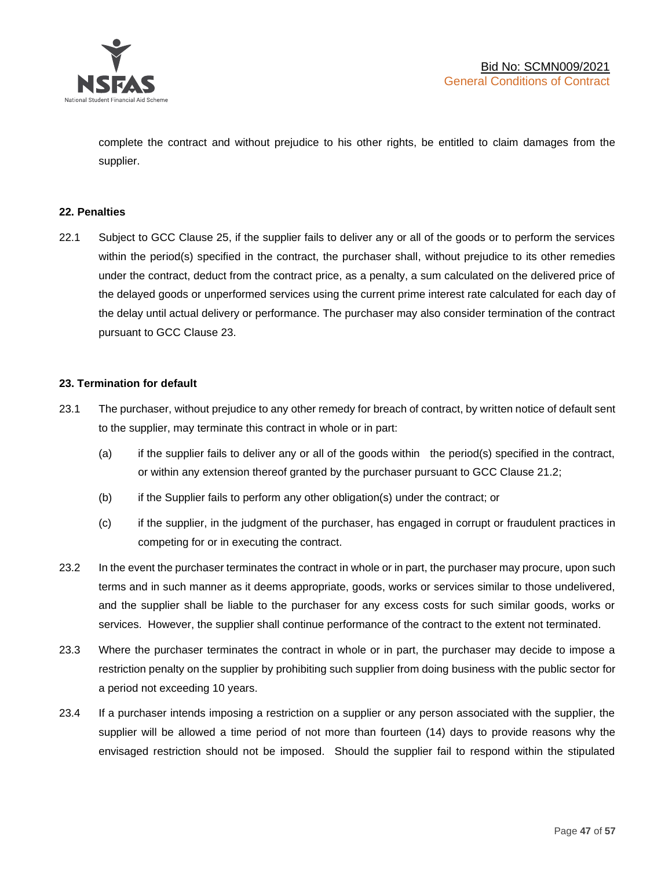

complete the contract and without prejudice to his other rights, be entitled to claim damages from the supplier.

#### **22. Penalties**

22.1 Subject to GCC Clause 25, if the supplier fails to deliver any or all of the goods or to perform the services within the period(s) specified in the contract, the purchaser shall, without prejudice to its other remedies under the contract, deduct from the contract price, as a penalty, a sum calculated on the delivered price of the delayed goods or unperformed services using the current prime interest rate calculated for each day of the delay until actual delivery or performance. The purchaser may also consider termination of the contract pursuant to GCC Clause 23.

## **23. Termination for default**

- 23.1 The purchaser, without prejudice to any other remedy for breach of contract, by written notice of default sent to the supplier, may terminate this contract in whole or in part:
	- (a) if the supplier fails to deliver any or all of the goods within the period(s) specified in the contract, or within any extension thereof granted by the purchaser pursuant to GCC Clause 21.2;
	- (b) if the Supplier fails to perform any other obligation(s) under the contract; or
	- (c) if the supplier, in the judgment of the purchaser, has engaged in corrupt or fraudulent practices in competing for or in executing the contract.
- 23.2 In the event the purchaser terminates the contract in whole or in part, the purchaser may procure, upon such terms and in such manner as it deems appropriate, goods, works or services similar to those undelivered, and the supplier shall be liable to the purchaser for any excess costs for such similar goods, works or services. However, the supplier shall continue performance of the contract to the extent not terminated.
- 23.3 Where the purchaser terminates the contract in whole or in part, the purchaser may decide to impose a restriction penalty on the supplier by prohibiting such supplier from doing business with the public sector for a period not exceeding 10 years.
- 23.4 If a purchaser intends imposing a restriction on a supplier or any person associated with the supplier, the supplier will be allowed a time period of not more than fourteen (14) days to provide reasons why the envisaged restriction should not be imposed. Should the supplier fail to respond within the stipulated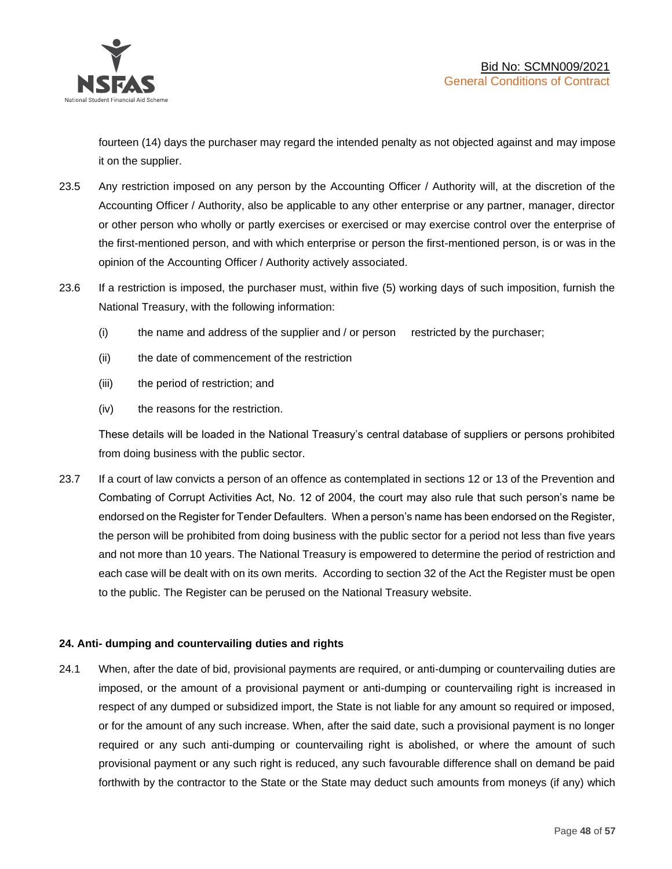

fourteen (14) days the purchaser may regard the intended penalty as not objected against and may impose it on the supplier.

- 23.5 Any restriction imposed on any person by the Accounting Officer / Authority will, at the discretion of the Accounting Officer / Authority, also be applicable to any other enterprise or any partner, manager, director or other person who wholly or partly exercises or exercised or may exercise control over the enterprise of the first-mentioned person, and with which enterprise or person the first-mentioned person, is or was in the opinion of the Accounting Officer / Authority actively associated.
- 23.6 If a restriction is imposed, the purchaser must, within five (5) working days of such imposition, furnish the National Treasury, with the following information:
	- (i) the name and address of the supplier and / or person restricted by the purchaser;
	- (ii) the date of commencement of the restriction
	- (iii) the period of restriction; and
	- (iv) the reasons for the restriction.

These details will be loaded in the National Treasury's central database of suppliers or persons prohibited from doing business with the public sector.

23.7 If a court of law convicts a person of an offence as contemplated in sections 12 or 13 of the Prevention and Combating of Corrupt Activities Act, No. 12 of 2004, the court may also rule that such person's name be endorsed on the Register for Tender Defaulters. When a person's name has been endorsed on the Register, the person will be prohibited from doing business with the public sector for a period not less than five years and not more than 10 years. The National Treasury is empowered to determine the period of restriction and each case will be dealt with on its own merits. According to section 32 of the Act the Register must be open to the public. The Register can be perused on the National Treasury website.

## **24. Anti- dumping and countervailing duties and rights**

24.1 When, after the date of bid, provisional payments are required, or anti-dumping or countervailing duties are imposed, or the amount of a provisional payment or anti-dumping or countervailing right is increased in respect of any dumped or subsidized import, the State is not liable for any amount so required or imposed, or for the amount of any such increase. When, after the said date, such a provisional payment is no longer required or any such anti-dumping or countervailing right is abolished, or where the amount of such provisional payment or any such right is reduced, any such favourable difference shall on demand be paid forthwith by the contractor to the State or the State may deduct such amounts from moneys (if any) which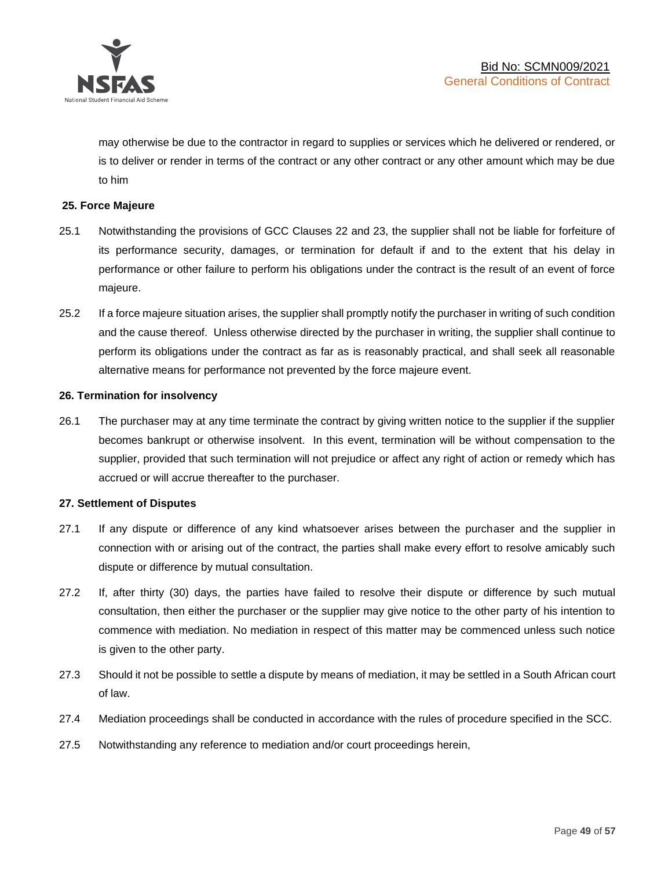

may otherwise be due to the contractor in regard to supplies or services which he delivered or rendered, or is to deliver or render in terms of the contract or any other contract or any other amount which may be due to him

## **25. Force Majeure**

- 25.1 Notwithstanding the provisions of GCC Clauses 22 and 23, the supplier shall not be liable for forfeiture of its performance security, damages, or termination for default if and to the extent that his delay in performance or other failure to perform his obligations under the contract is the result of an event of force majeure.
- 25.2 If a force majeure situation arises, the supplier shall promptly notify the purchaser in writing of such condition and the cause thereof. Unless otherwise directed by the purchaser in writing, the supplier shall continue to perform its obligations under the contract as far as is reasonably practical, and shall seek all reasonable alternative means for performance not prevented by the force majeure event.

#### **26. Termination for insolvency**

26.1 The purchaser may at any time terminate the contract by giving written notice to the supplier if the supplier becomes bankrupt or otherwise insolvent. In this event, termination will be without compensation to the supplier, provided that such termination will not prejudice or affect any right of action or remedy which has accrued or will accrue thereafter to the purchaser.

#### **27. Settlement of Disputes**

- 27.1 If any dispute or difference of any kind whatsoever arises between the purchaser and the supplier in connection with or arising out of the contract, the parties shall make every effort to resolve amicably such dispute or difference by mutual consultation.
- 27.2 If, after thirty (30) days, the parties have failed to resolve their dispute or difference by such mutual consultation, then either the purchaser or the supplier may give notice to the other party of his intention to commence with mediation. No mediation in respect of this matter may be commenced unless such notice is given to the other party.
- 27.3 Should it not be possible to settle a dispute by means of mediation, it may be settled in a South African court of law.
- 27.4 Mediation proceedings shall be conducted in accordance with the rules of procedure specified in the SCC.
- 27.5 Notwithstanding any reference to mediation and/or court proceedings herein,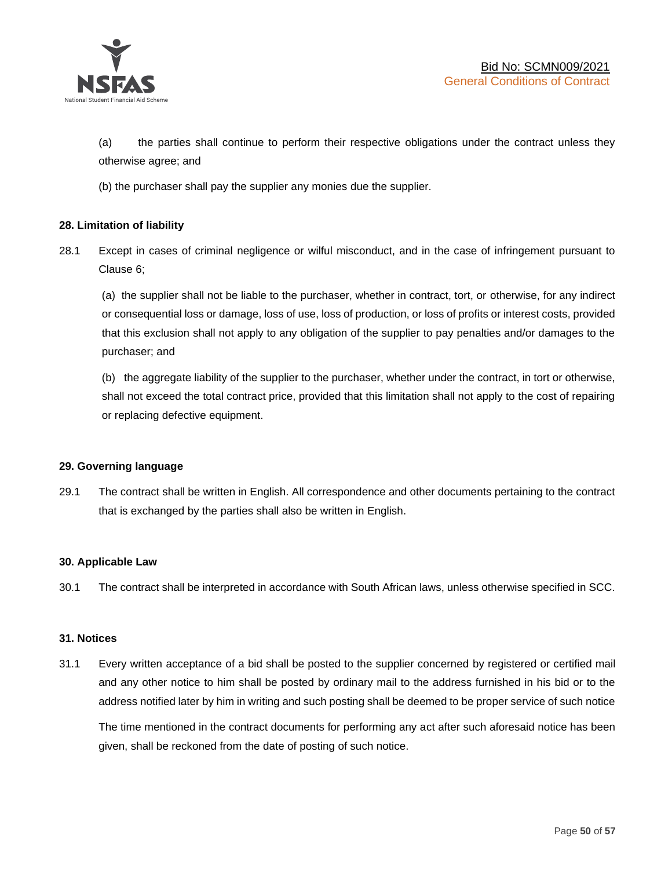

(a) the parties shall continue to perform their respective obligations under the contract unless they otherwise agree; and

(b) the purchaser shall pay the supplier any monies due the supplier.

## **28. Limitation of liability**

28.1 Except in cases of criminal negligence or wilful misconduct, and in the case of infringement pursuant to Clause 6;

(a) the supplier shall not be liable to the purchaser, whether in contract, tort, or otherwise, for any indirect or consequential loss or damage, loss of use, loss of production, or loss of profits or interest costs, provided that this exclusion shall not apply to any obligation of the supplier to pay penalties and/or damages to the purchaser; and

(b) the aggregate liability of the supplier to the purchaser, whether under the contract, in tort or otherwise, shall not exceed the total contract price, provided that this limitation shall not apply to the cost of repairing or replacing defective equipment.

#### **29. Governing language**

29.1 The contract shall be written in English. All correspondence and other documents pertaining to the contract that is exchanged by the parties shall also be written in English.

#### **30. Applicable Law**

30.1 The contract shall be interpreted in accordance with South African laws, unless otherwise specified in SCC.

#### **31. Notices**

31.1 Every written acceptance of a bid shall be posted to the supplier concerned by registered or certified mail and any other notice to him shall be posted by ordinary mail to the address furnished in his bid or to the address notified later by him in writing and such posting shall be deemed to be proper service of such notice

The time mentioned in the contract documents for performing any act after such aforesaid notice has been given, shall be reckoned from the date of posting of such notice.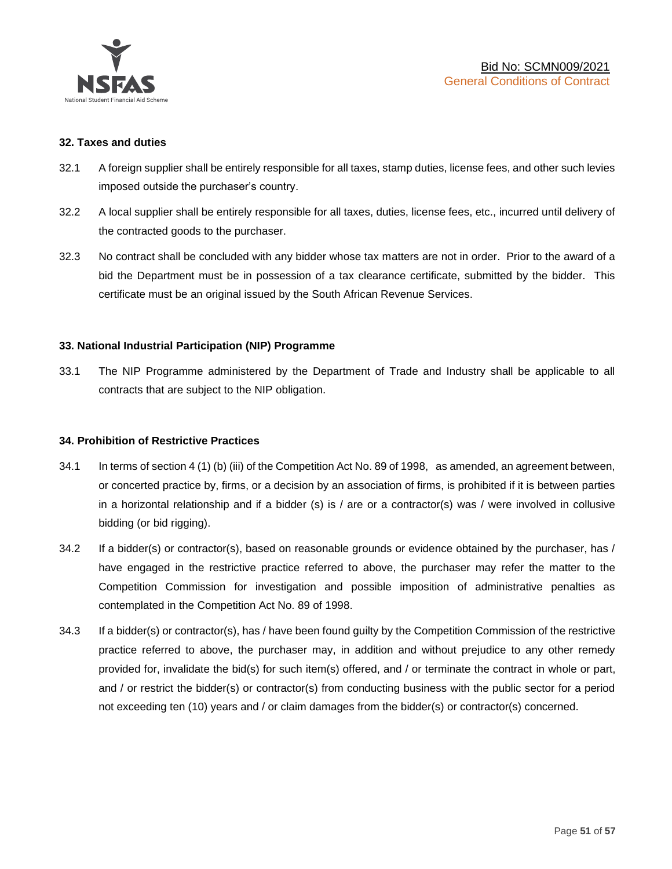

#### **32. Taxes and duties**

- 32.1 A foreign supplier shall be entirely responsible for all taxes, stamp duties, license fees, and other such levies imposed outside the purchaser's country.
- 32.2 A local supplier shall be entirely responsible for all taxes, duties, license fees, etc., incurred until delivery of the contracted goods to the purchaser.
- 32.3 No contract shall be concluded with any bidder whose tax matters are not in order. Prior to the award of a bid the Department must be in possession of a tax clearance certificate, submitted by the bidder. This certificate must be an original issued by the South African Revenue Services.

## **33. National Industrial Participation (NIP) Programme**

33.1 The NIP Programme administered by the Department of Trade and Industry shall be applicable to all contracts that are subject to the NIP obligation.

#### **34. Prohibition of Restrictive Practices**

- 34.1 In terms of section 4 (1) (b) (iii) of the Competition Act No. 89 of 1998, as amended, an agreement between, or concerted practice by, firms, or a decision by an association of firms, is prohibited if it is between parties in a horizontal relationship and if a bidder (s) is / are or a contractor(s) was / were involved in collusive bidding (or bid rigging).
- 34.2 If a bidder(s) or contractor(s), based on reasonable grounds or evidence obtained by the purchaser, has / have engaged in the restrictive practice referred to above, the purchaser may refer the matter to the Competition Commission for investigation and possible imposition of administrative penalties as contemplated in the Competition Act No. 89 of 1998.
- 34.3 If a bidder(s) or contractor(s), has / have been found guilty by the Competition Commission of the restrictive practice referred to above, the purchaser may, in addition and without prejudice to any other remedy provided for, invalidate the bid(s) for such item(s) offered, and / or terminate the contract in whole or part, and / or restrict the bidder(s) or contractor(s) from conducting business with the public sector for a period not exceeding ten (10) years and / or claim damages from the bidder(s) or contractor(s) concerned.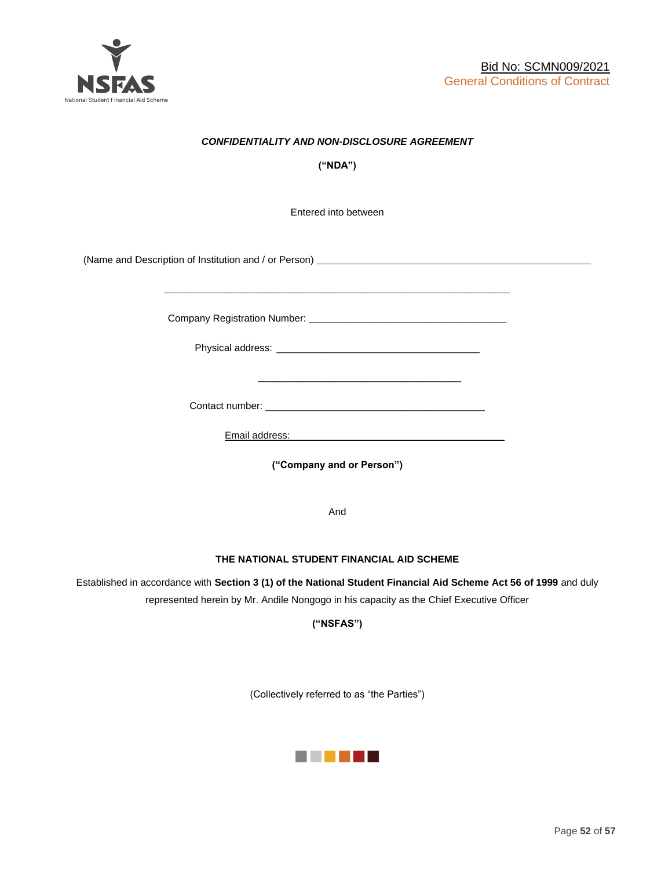

## *CONFIDENTIALITY AND NON-DISCLOSURE AGREEMENT*

**("NDA")**

Entered into between

(Name and Description of Institution and / or Person) **\_\_\_\_\_\_\_\_\_\_\_\_\_\_\_\_\_\_\_\_\_\_\_\_\_\_\_\_\_\_\_\_\_\_\_\_\_\_\_\_\_\_\_\_\_\_\_\_\_\_**

Company Registration Number: **\_\_\_\_\_\_\_\_\_\_\_\_\_\_\_\_\_\_\_\_\_\_\_\_\_\_\_\_\_\_\_\_\_\_\_\_**

 $\frac{1}{\sqrt{2}}$  ,  $\frac{1}{\sqrt{2}}$  ,  $\frac{1}{\sqrt{2}}$  ,  $\frac{1}{\sqrt{2}}$  ,  $\frac{1}{\sqrt{2}}$  ,  $\frac{1}{\sqrt{2}}$  ,  $\frac{1}{\sqrt{2}}$  ,  $\frac{1}{\sqrt{2}}$  ,  $\frac{1}{\sqrt{2}}$  ,  $\frac{1}{\sqrt{2}}$  ,  $\frac{1}{\sqrt{2}}$  ,  $\frac{1}{\sqrt{2}}$  ,  $\frac{1}{\sqrt{2}}$  ,  $\frac{1}{\sqrt{2}}$  ,  $\frac{1}{\sqrt{2}}$ 

Physical address: \_\_\_\_\_\_\_\_\_\_\_\_\_\_\_\_\_\_\_\_\_\_\_\_\_\_\_\_\_\_\_\_\_\_\_\_\_

**\_\_\_\_\_\_\_\_\_\_\_\_\_\_\_\_\_\_\_\_\_\_\_\_\_\_\_\_\_\_\_\_\_\_\_\_\_\_\_\_\_\_\_\_\_\_\_\_\_\_\_\_\_\_\_\_\_\_\_\_\_\_\_**

Contact number: \_\_\_\_\_\_\_\_\_\_\_\_\_\_\_\_\_\_\_\_\_\_\_\_\_\_\_\_\_\_\_\_\_\_\_\_\_\_\_\_

Email address: \_\_\_\_\_\_\_\_\_\_\_\_\_\_\_\_\_\_\_\_\_\_\_\_\_\_\_\_\_\_\_\_\_\_\_\_\_

**("Company and or Person")**

And

#### **THE NATIONAL STUDENT FINANCIAL AID SCHEME**

Established in accordance with **Section 3 (1) of the National Student Financial Aid Scheme Act 56 of 1999** and duly represented herein by Mr. Andile Nongogo in his capacity as the Chief Executive Officer

**("NSFAS")**

(Collectively referred to as "the Parties")

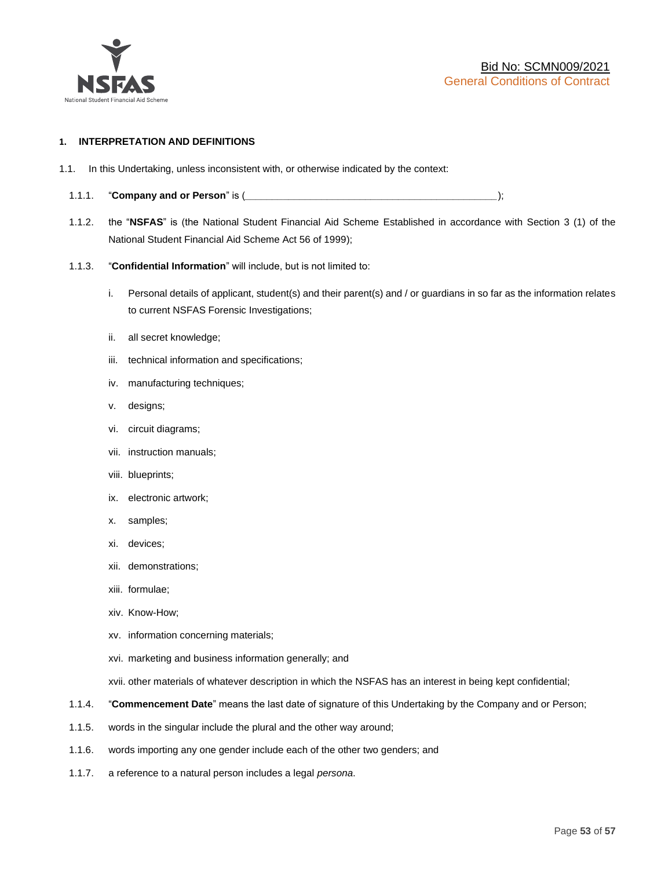

#### **1. INTERPRETATION AND DEFINITIONS**

- 1.1. In this Undertaking, unless inconsistent with, or otherwise indicated by the context:
	- 1.1.1. "**Company and or Person**" is (*\_\_\_\_\_\_\_\_\_\_\_\_\_\_\_\_\_\_\_\_\_\_\_\_\_\_\_\_\_\_\_\_\_\_\_\_\_\_\_\_\_\_\_\_\_\_*);
	- 1.1.2. the "**NSFAS**" is (the National Student Financial Aid Scheme Established in accordance with Section 3 (1) of the National Student Financial Aid Scheme Act 56 of 1999);
	- 1.1.3. "**Confidential Information**" will include, but is not limited to:
		- i. Personal details of applicant, student(s) and their parent(s) and / or guardians in so far as the information relates to current NSFAS Forensic Investigations;
		- ii. all secret knowledge;
		- iii. technical information and specifications;
		- iv. manufacturing techniques;
		- v. designs;
		- vi. circuit diagrams;
		- vii. instruction manuals;
		- viii. blueprints;
		- ix. electronic artwork;
		- x. samples;
		- xi. devices;
		- xii. demonstrations;
		- xiii. formulae;
		- xiv. Know-How;
		- xv. information concerning materials;
		- xvi. marketing and business information generally; and
		- xvii. other materials of whatever description in which the NSFAS has an interest in being kept confidential;
	- 1.1.4. "**Commencement Date**" means the last date of signature of this Undertaking by the Company and or Person;
	- 1.1.5. words in the singular include the plural and the other way around;
	- 1.1.6. words importing any one gender include each of the other two genders; and
	- 1.1.7. a reference to a natural person includes a legal *persona*.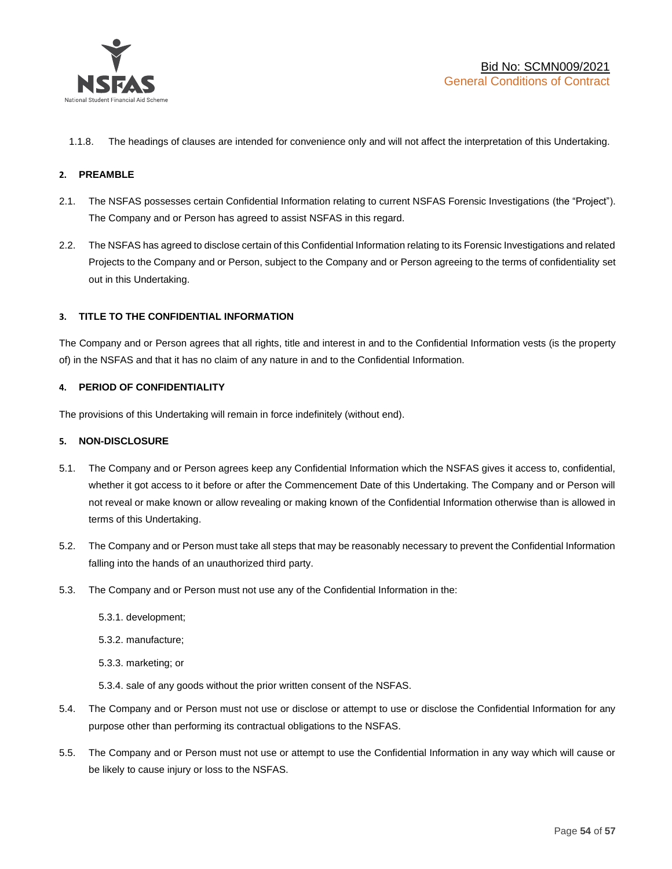

1.1.8. The headings of clauses are intended for convenience only and will not affect the interpretation of this Undertaking.

#### **2. PREAMBLE**

- 2.1. The NSFAS possesses certain Confidential Information relating to current NSFAS Forensic Investigations (the "Project"). The Company and or Person has agreed to assist NSFAS in this regard.
- 2.2. The NSFAS has agreed to disclose certain of this Confidential Information relating to its Forensic Investigations and related Projects to the Company and or Person, subject to the Company and or Person agreeing to the terms of confidentiality set out in this Undertaking.

#### **3. TITLE TO THE CONFIDENTIAL INFORMATION**

The Company and or Person agrees that all rights, title and interest in and to the Confidential Information vests (is the property of) in the NSFAS and that it has no claim of any nature in and to the Confidential Information.

#### **4. PERIOD OF CONFIDENTIALITY**

The provisions of this Undertaking will remain in force indefinitely (without end).

#### **5. NON-DISCLOSURE**

- 5.1. The Company and or Person agrees keep any Confidential Information which the NSFAS gives it access to, confidential, whether it got access to it before or after the Commencement Date of this Undertaking. The Company and or Person will not reveal or make known or allow revealing or making known of the Confidential Information otherwise than is allowed in terms of this Undertaking.
- 5.2. The Company and or Person must take all steps that may be reasonably necessary to prevent the Confidential Information falling into the hands of an unauthorized third party.
- 5.3. The Company and or Person must not use any of the Confidential Information in the:
	- 5.3.1. development;
	- 5.3.2. manufacture;
	- 5.3.3. marketing; or
	- 5.3.4. sale of any goods without the prior written consent of the NSFAS.
- 5.4. The Company and or Person must not use or disclose or attempt to use or disclose the Confidential Information for any purpose other than performing its contractual obligations to the NSFAS.
- 5.5. The Company and or Person must not use or attempt to use the Confidential Information in any way which will cause or be likely to cause injury or loss to the NSFAS.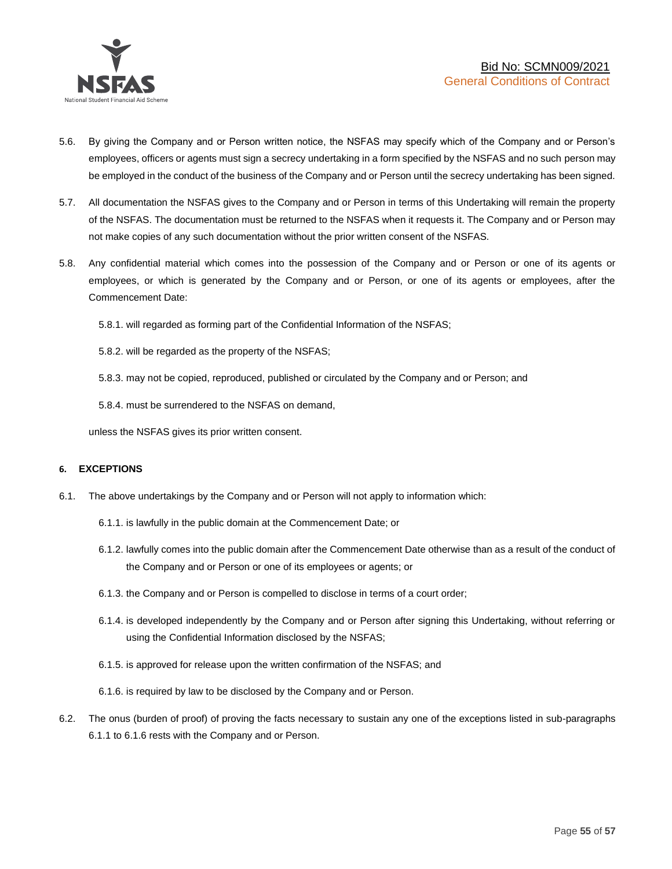

- 5.6. By giving the Company and or Person written notice, the NSFAS may specify which of the Company and or Person's employees, officers or agents must sign a secrecy undertaking in a form specified by the NSFAS and no such person may be employed in the conduct of the business of the Company and or Person until the secrecy undertaking has been signed.
- 5.7. All documentation the NSFAS gives to the Company and or Person in terms of this Undertaking will remain the property of the NSFAS. The documentation must be returned to the NSFAS when it requests it. The Company and or Person may not make copies of any such documentation without the prior written consent of the NSFAS.
- 5.8. Any confidential material which comes into the possession of the Company and or Person or one of its agents or employees, or which is generated by the Company and or Person, or one of its agents or employees, after the Commencement Date:

5.8.1. will regarded as forming part of the Confidential Information of the NSFAS;

5.8.2. will be regarded as the property of the NSFAS;

5.8.3. may not be copied, reproduced, published or circulated by the Company and or Person; and

5.8.4. must be surrendered to the NSFAS on demand,

unless the NSFAS gives its prior written consent.

#### **6. EXCEPTIONS**

- 6.1. The above undertakings by the Company and or Person will not apply to information which:
	- 6.1.1. is lawfully in the public domain at the Commencement Date; or
	- 6.1.2. lawfully comes into the public domain after the Commencement Date otherwise than as a result of the conduct of the Company and or Person or one of its employees or agents; or
	- 6.1.3. the Company and or Person is compelled to disclose in terms of a court order;
	- 6.1.4. is developed independently by the Company and or Person after signing this Undertaking, without referring or using the Confidential Information disclosed by the NSFAS;
	- 6.1.5. is approved for release upon the written confirmation of the NSFAS; and
	- 6.1.6. is required by law to be disclosed by the Company and or Person.
- 6.2. The onus (burden of proof) of proving the facts necessary to sustain any one of the exceptions listed in sub-paragraphs 6.1.1 to 6.1.6 rests with the Company and or Person.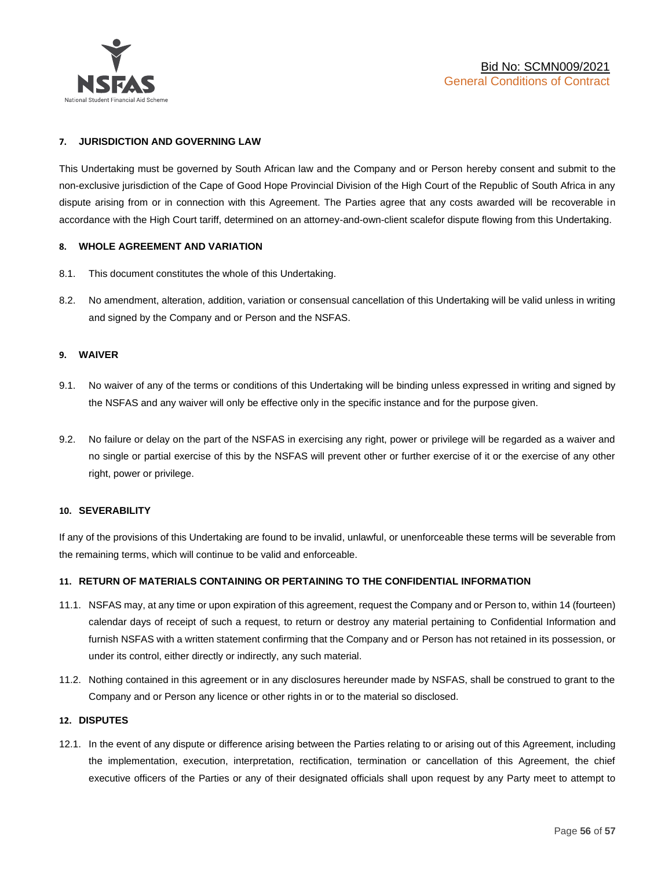

#### **7. JURISDICTION AND GOVERNING LAW**

This Undertaking must be governed by South African law and the Company and or Person hereby consent and submit to the non-exclusive jurisdiction of the Cape of Good Hope Provincial Division of the High Court of the Republic of South Africa in any dispute arising from or in connection with this Agreement. The Parties agree that any costs awarded will be recoverable in accordance with the High Court tariff, determined on an attorney-and-own-client scalefor dispute flowing from this Undertaking.

#### **8. WHOLE AGREEMENT AND VARIATION**

- 8.1. This document constitutes the whole of this Undertaking.
- 8.2. No amendment, alteration, addition, variation or consensual cancellation of this Undertaking will be valid unless in writing and signed by the Company and or Person and the NSFAS.

#### **9. WAIVER**

- 9.1. No waiver of any of the terms or conditions of this Undertaking will be binding unless expressed in writing and signed by the NSFAS and any waiver will only be effective only in the specific instance and for the purpose given.
- 9.2. No failure or delay on the part of the NSFAS in exercising any right, power or privilege will be regarded as a waiver and no single or partial exercise of this by the NSFAS will prevent other or further exercise of it or the exercise of any other right, power or privilege.

#### **10. SEVERABILITY**

If any of the provisions of this Undertaking are found to be invalid, unlawful, or unenforceable these terms will be severable from the remaining terms, which will continue to be valid and enforceable.

#### **11. RETURN OF MATERIALS CONTAINING OR PERTAINING TO THE CONFIDENTIAL INFORMATION**

- 11.1. NSFAS may, at any time or upon expiration of this agreement, request the Company and or Person to, within 14 (fourteen) calendar days of receipt of such a request, to return or destroy any material pertaining to Confidential Information and furnish NSFAS with a written statement confirming that the Company and or Person has not retained in its possession, or under its control, either directly or indirectly, any such material.
- 11.2. Nothing contained in this agreement or in any disclosures hereunder made by NSFAS, shall be construed to grant to the Company and or Person any licence or other rights in or to the material so disclosed.

#### **12. DISPUTES**

12.1. In the event of any dispute or difference arising between the Parties relating to or arising out of this Agreement, including the implementation, execution, interpretation, rectification, termination or cancellation of this Agreement, the chief executive officers of the Parties or any of their designated officials shall upon request by any Party meet to attempt to